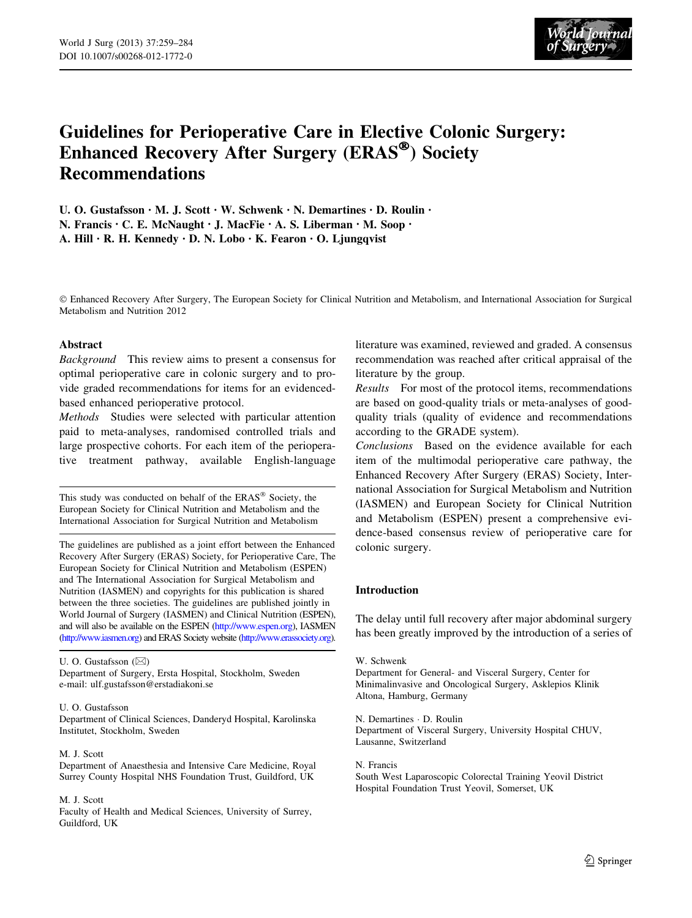

# Guidelines for Perioperative Care in Elective Colonic Surgery: Enhanced Recovery After Surgery (ERAS®) Society Recommendations

U. O. Gustafsson • M. J. Scott • W. Schwenk • N. Demartines • D. Roulin • N. Francis • C. E. McNaught • J. MacFie • A. S. Liberman • M. Soop • A. Hill • R. H. Kennedy • D. N. Lobo • K. Fearon • O. Ljungqvist

- Enhanced Recovery After Surgery, The European Society for Clinical Nutrition and Metabolism, and International Association for Surgical Metabolism and Nutrition 2012

# Abstract

Background This review aims to present a consensus for optimal perioperative care in colonic surgery and to provide graded recommendations for items for an evidencedbased enhanced perioperative protocol.

Methods Studies were selected with particular attention paid to meta-analyses, randomised controlled trials and large prospective cohorts. For each item of the perioperative treatment pathway, available English-language

This study was conducted on behalf of the ERAS<sup>®</sup> Society, the European Society for Clinical Nutrition and Metabolism and the International Association for Surgical Nutrition and Metabolism

The guidelines are published as a joint effort between the Enhanced Recovery After Surgery (ERAS) Society, for Perioperative Care, The European Society for Clinical Nutrition and Metabolism (ESPEN) and The International Association for Surgical Metabolism and Nutrition (IASMEN) and copyrights for this publication is shared between the three societies. The guidelines are published jointly in World Journal of Surgery (IASMEN) and Clinical Nutrition (ESPEN), and will also be available on the ESPEN [\(http://www.espen.org\)](http://www.espen.org), IASMEN [\(http://www.iasmen.org](http://www.iasmen.org)) and ERAS Society website [\(http://www.erassociety.org\)](http://www.erassociety.org).

U. O. Gustafsson  $(\boxtimes)$ Department of Surgery, Ersta Hospital, Stockholm, Sweden e-mail: ulf.gustafsson@erstadiakoni.se

#### U. O. Gustafsson

Department of Clinical Sciences, Danderyd Hospital, Karolinska Institutet, Stockholm, Sweden

#### M. J. Scott

Department of Anaesthesia and Intensive Care Medicine, Royal Surrey County Hospital NHS Foundation Trust, Guildford, UK

#### M. J. Scott

Faculty of Health and Medical Sciences, University of Surrey, Guildford, UK

literature was examined, reviewed and graded. A consensus recommendation was reached after critical appraisal of the literature by the group.

Results For most of the protocol items, recommendations are based on good-quality trials or meta-analyses of goodquality trials (quality of evidence and recommendations according to the GRADE system).

Conclusions Based on the evidence available for each item of the multimodal perioperative care pathway, the Enhanced Recovery After Surgery (ERAS) Society, International Association for Surgical Metabolism and Nutrition (IASMEN) and European Society for Clinical Nutrition and Metabolism (ESPEN) present a comprehensive evidence-based consensus review of perioperative care for colonic surgery.

# Introduction

The delay until full recovery after major abdominal surgery has been greatly improved by the introduction of a series of

W. Schwenk

Department for General- and Visceral Surgery, Center for Minimalinvasive and Oncological Surgery, Asklepios Klinik Altona, Hamburg, Germany

N. Demartines - D. Roulin Department of Visceral Surgery, University Hospital CHUV, Lausanne, Switzerland

N. Francis South West Laparoscopic Colorectal Training Yeovil District Hospital Foundation Trust Yeovil, Somerset, UK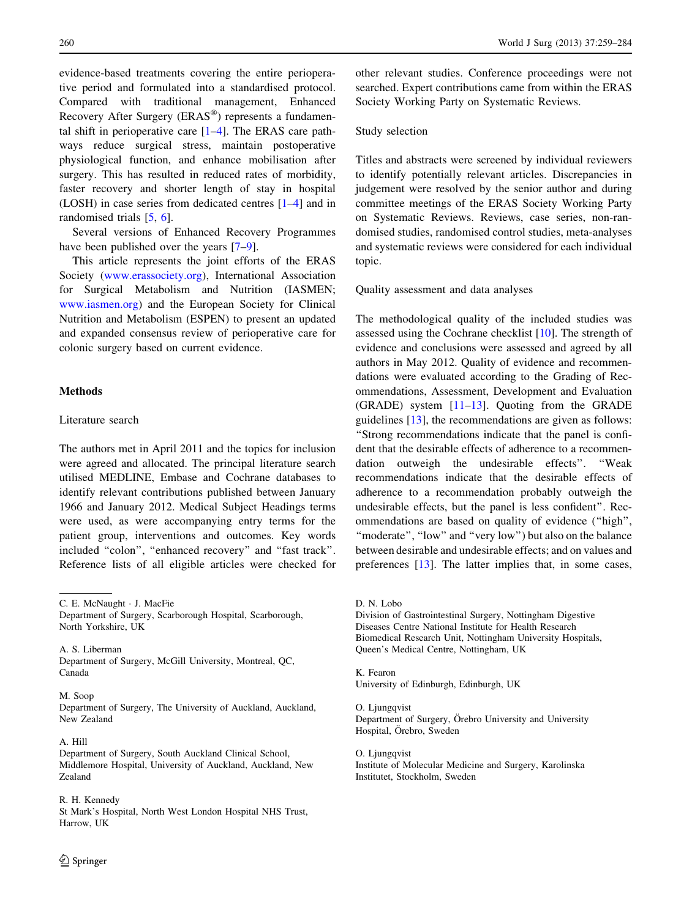evidence-based treatments covering the entire perioperative period and formulated into a standardised protocol. Compared with traditional management, Enhanced Recovery After Surgery ( $ERAS^{\circledR}$ ) represents a fundamental shift in perioperative care [\[1](#page-18-0)[–4](#page-19-0)]. The ERAS care pathways reduce surgical stress, maintain postoperative physiological function, and enhance mobilisation after surgery. This has resulted in reduced rates of morbidity, faster recovery and shorter length of stay in hospital (LOSH) in case series from dedicated centres [\[1](#page-18-0)[–4](#page-19-0)] and in randomised trials [[5,](#page-19-0) [6\]](#page-19-0).

Several versions of Enhanced Recovery Programmes have been published over the years [\[7–9](#page-19-0)].

This article represents the joint efforts of the ERAS Society ([www.erassociety.org](http://www.erassociety.org)), International Association for Surgical Metabolism and Nutrition (IASMEN; [www.iasmen.org](http://www.iasmen.org)) and the European Society for Clinical Nutrition and Metabolism (ESPEN) to present an updated and expanded consensus review of perioperative care for colonic surgery based on current evidence.

# Methods

# Literature search

The authors met in April 2011 and the topics for inclusion were agreed and allocated. The principal literature search utilised MEDLINE, Embase and Cochrane databases to identify relevant contributions published between January 1966 and January 2012. Medical Subject Headings terms were used, as were accompanying entry terms for the patient group, interventions and outcomes. Key words included ''colon'', ''enhanced recovery'' and ''fast track''. Reference lists of all eligible articles were checked for

C. E. McNaught - J. MacFie

Department of Surgery, Scarborough Hospital, Scarborough, North Yorkshire, UK

A. S. Liberman Department of Surgery, McGill University, Montreal, QC, Canada

M. Soop Department of Surgery, The University of Auckland, Auckland, New Zealand

A. Hill Department of Surgery, South Auckland Clinical School, Middlemore Hospital, University of Auckland, Auckland, New Zealand

#### R. H. Kennedy

St Mark's Hospital, North West London Hospital NHS Trust, Harrow, UK

other relevant studies. Conference proceedings were not searched. Expert contributions came from within the ERAS Society Working Party on Systematic Reviews.

# Study selection

Titles and abstracts were screened by individual reviewers to identify potentially relevant articles. Discrepancies in judgement were resolved by the senior author and during committee meetings of the ERAS Society Working Party on Systematic Reviews. Reviews, case series, non-randomised studies, randomised control studies, meta-analyses and systematic reviews were considered for each individual topic.

Quality assessment and data analyses

The methodological quality of the included studies was assessed using the Cochrane checklist [\[10](#page-19-0)]. The strength of evidence and conclusions were assessed and agreed by all authors in May 2012. Quality of evidence and recommendations were evaluated according to the Grading of Recommendations, Assessment, Development and Evaluation (GRADE) system [\[11–13](#page-19-0)]. Quoting from the GRADE guidelines [\[13](#page-19-0)], the recommendations are given as follows: ''Strong recommendations indicate that the panel is confident that the desirable effects of adherence to a recommendation outweigh the undesirable effects''. ''Weak recommendations indicate that the desirable effects of adherence to a recommendation probably outweigh the undesirable effects, but the panel is less confident''. Recommendations are based on quality of evidence (''high'', "moderate", "low" and "very low") but also on the balance between desirable and undesirable effects; and on values and preferences [\[13](#page-19-0)]. The latter implies that, in some cases,

D. N. Lobo Division of Gastrointestinal Surgery, Nottingham Digestive Diseases Centre National Institute for Health Research Biomedical Research Unit, Nottingham University Hospitals, Queen's Medical Centre, Nottingham, UK

K. Fearon University of Edinburgh, Edinburgh, UK

O. Ljungqvist Department of Surgery, Örebro University and University Hospital, Örebro, Sweden

O. Ljungqvist Institute of Molecular Medicine and Surgery, Karolinska Institutet, Stockholm, Sweden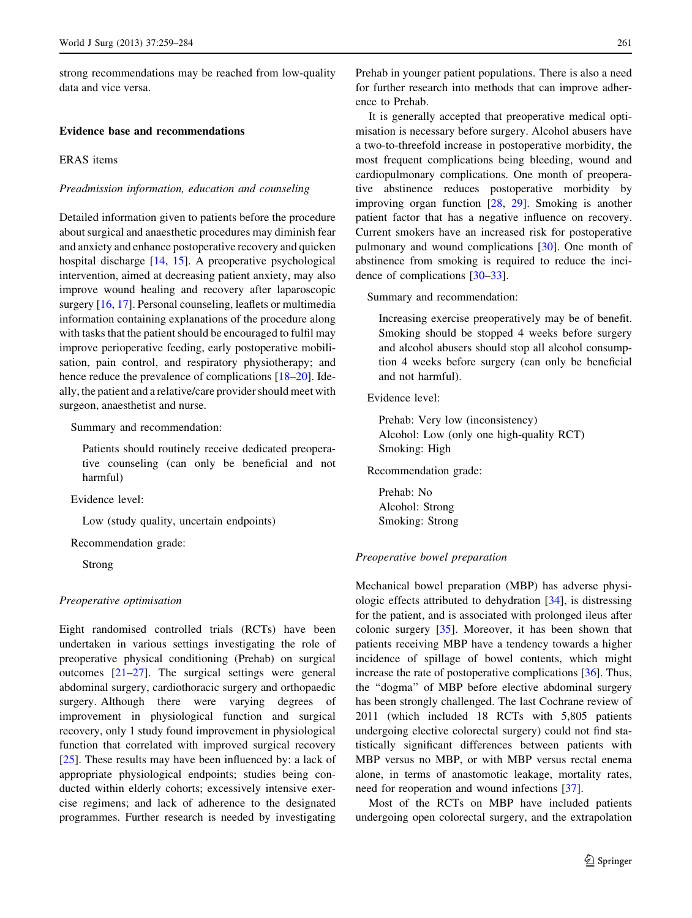strong recommendations may be reached from low-quality data and vice versa.

# Evidence base and recommendations

# ERAS items

# Preadmission information, education and counseling

Detailed information given to patients before the procedure about surgical and anaesthetic procedures may diminish fear and anxiety and enhance postoperative recovery and quicken hospital discharge [\[14](#page-19-0), [15\]](#page-19-0). A preoperative psychological intervention, aimed at decreasing patient anxiety, may also improve wound healing and recovery after laparoscopic surgery [\[16](#page-19-0), [17\]](#page-19-0). Personal counseling, leaflets or multimedia information containing explanations of the procedure along with tasks that the patient should be encouraged to fulfil may improve perioperative feeding, early postoperative mobilisation, pain control, and respiratory physiotherapy; and hence reduce the prevalence of complications [[18–20\]](#page-19-0). Ideally, the patient and a relative/care provider should meet with surgeon, anaesthetist and nurse.

Summary and recommendation:

Patients should routinely receive dedicated preoperative counseling (can only be beneficial and not harmful)

Evidence level:

Low (study quality, uncertain endpoints)

Recommendation grade:

Strong

#### Preoperative optimisation

Eight randomised controlled trials (RCTs) have been undertaken in various settings investigating the role of preoperative physical conditioning (Prehab) on surgical outcomes  $[21-27]$ . The surgical settings were general abdominal surgery, cardiothoracic surgery and orthopaedic surgery. Although there were varying degrees of improvement in physiological function and surgical recovery, only 1 study found improvement in physiological function that correlated with improved surgical recovery [\[25](#page-19-0)]. These results may have been influenced by: a lack of appropriate physiological endpoints; studies being conducted within elderly cohorts; excessively intensive exercise regimens; and lack of adherence to the designated programmes. Further research is needed by investigating Prehab in younger patient populations. There is also a need for further research into methods that can improve adherence to Prehab.

It is generally accepted that preoperative medical optimisation is necessary before surgery. Alcohol abusers have a two-to-threefold increase in postoperative morbidity, the most frequent complications being bleeding, wound and cardiopulmonary complications. One month of preoperative abstinence reduces postoperative morbidity by improving organ function [[28,](#page-19-0) [29](#page-19-0)]. Smoking is another patient factor that has a negative influence on recovery. Current smokers have an increased risk for postoperative pulmonary and wound complications [\[30](#page-19-0)]. One month of abstinence from smoking is required to reduce the incidence of complications [\[30–33](#page-19-0)].

Summary and recommendation:

Increasing exercise preoperatively may be of benefit. Smoking should be stopped 4 weeks before surgery and alcohol abusers should stop all alcohol consumption 4 weeks before surgery (can only be beneficial and not harmful).

Evidence level:

Prehab: Very low (inconsistency) Alcohol: Low (only one high-quality RCT) Smoking: High

Recommendation grade:

Prehab: No Alcohol: Strong Smoking: Strong

# Preoperative bowel preparation

Mechanical bowel preparation (MBP) has adverse physiologic effects attributed to dehydration [\[34](#page-19-0)], is distressing for the patient, and is associated with prolonged ileus after colonic surgery [[35\]](#page-19-0). Moreover, it has been shown that patients receiving MBP have a tendency towards a higher incidence of spillage of bowel contents, which might increase the rate of postoperative complications [\[36](#page-19-0)]. Thus, the ''dogma'' of MBP before elective abdominal surgery has been strongly challenged. The last Cochrane review of 2011 (which included 18 RCTs with 5,805 patients undergoing elective colorectal surgery) could not find statistically significant differences between patients with MBP versus no MBP, or with MBP versus rectal enema alone, in terms of anastomotic leakage, mortality rates, need for reoperation and wound infections [[37\]](#page-20-0).

Most of the RCTs on MBP have included patients undergoing open colorectal surgery, and the extrapolation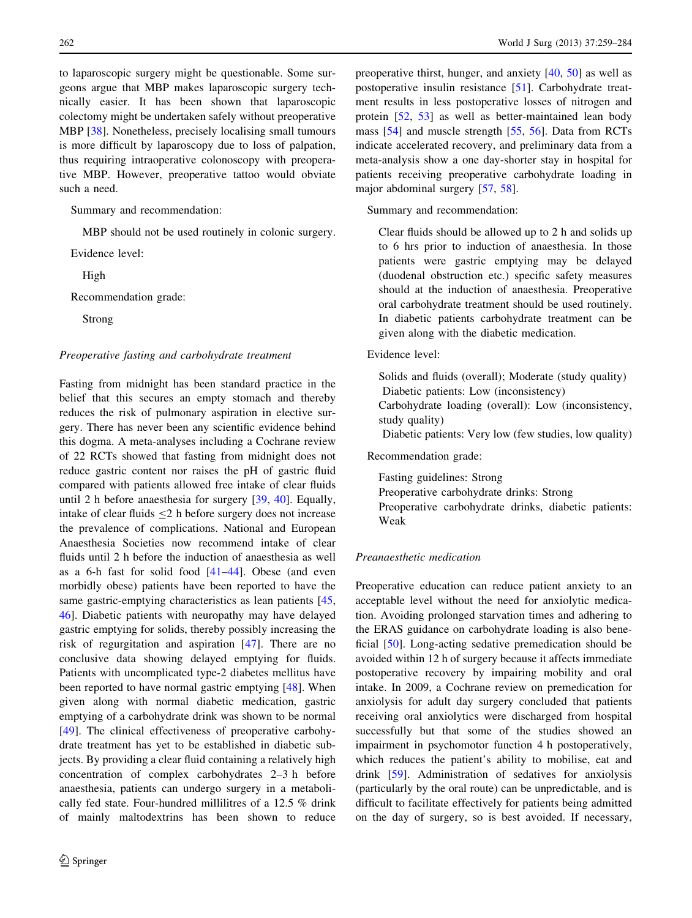to laparoscopic surgery might be questionable. Some surgeons argue that MBP makes laparoscopic surgery technically easier. It has been shown that laparoscopic colectomy might be undertaken safely without preoperative MBP [\[38](#page-20-0)]. Nonetheless, precisely localising small tumours is more difficult by laparoscopy due to loss of palpation, thus requiring intraoperative colonoscopy with preoperative MBP. However, preoperative tattoo would obviate such a need.

Summary and recommendation:

MBP should not be used routinely in colonic surgery.

Evidence level:

High

Recommendation grade:

Strong

# Preoperative fasting and carbohydrate treatment

Fasting from midnight has been standard practice in the belief that this secures an empty stomach and thereby reduces the risk of pulmonary aspiration in elective surgery. There has never been any scientific evidence behind this dogma. A meta-analyses including a Cochrane review of 22 RCTs showed that fasting from midnight does not reduce gastric content nor raises the pH of gastric fluid compared with patients allowed free intake of clear fluids until 2 h before anaesthesia for surgery [\[39](#page-20-0), [40](#page-20-0)]. Equally, intake of clear fluids  $\leq$  h before surgery does not increase the prevalence of complications. National and European Anaesthesia Societies now recommend intake of clear fluids until 2 h before the induction of anaesthesia as well as a 6-h fast for solid food  $[41-44]$ . Obese (and even morbidly obese) patients have been reported to have the same gastric-emptying characteristics as lean patients [[45,](#page-20-0) [46\]](#page-20-0). Diabetic patients with neuropathy may have delayed gastric emptying for solids, thereby possibly increasing the risk of regurgitation and aspiration [\[47](#page-20-0)]. There are no conclusive data showing delayed emptying for fluids. Patients with uncomplicated type-2 diabetes mellitus have been reported to have normal gastric emptying [[48\]](#page-20-0). When given along with normal diabetic medication, gastric emptying of a carbohydrate drink was shown to be normal [\[49](#page-20-0)]. The clinical effectiveness of preoperative carbohydrate treatment has yet to be established in diabetic subjects. By providing a clear fluid containing a relatively high concentration of complex carbohydrates 2–3 h before anaesthesia, patients can undergo surgery in a metabolically fed state. Four-hundred millilitres of a 12.5 % drink of mainly maltodextrins has been shown to reduce preoperative thirst, hunger, and anxiety [\[40](#page-20-0), [50\]](#page-20-0) as well as postoperative insulin resistance [[51\]](#page-20-0). Carbohydrate treatment results in less postoperative losses of nitrogen and protein [[52,](#page-20-0) [53](#page-20-0)] as well as better-maintained lean body mass [\[54](#page-20-0)] and muscle strength [[55,](#page-20-0) [56\]](#page-20-0). Data from RCTs indicate accelerated recovery, and preliminary data from a meta-analysis show a one day-shorter stay in hospital for patients receiving preoperative carbohydrate loading in major abdominal surgery [\[57](#page-20-0), [58\]](#page-20-0).

Summary and recommendation:

Clear fluids should be allowed up to 2 h and solids up to 6 hrs prior to induction of anaesthesia. In those patients were gastric emptying may be delayed (duodenal obstruction etc.) specific safety measures should at the induction of anaesthesia. Preoperative oral carbohydrate treatment should be used routinely. In diabetic patients carbohydrate treatment can be given along with the diabetic medication.

Evidence level:

Solids and fluids (overall); Moderate (study quality) Diabetic patients: Low (inconsistency) Carbohydrate loading (overall): Low (inconsistency, study quality) Diabetic patients: Very low (few studies, low quality)

Recommendation grade:

Fasting guidelines: Strong Preoperative carbohydrate drinks: Strong Preoperative carbohydrate drinks, diabetic patients: Weak

# Preanaesthetic medication

Preoperative education can reduce patient anxiety to an acceptable level without the need for anxiolytic medication. Avoiding prolonged starvation times and adhering to the ERAS guidance on carbohydrate loading is also beneficial [\[50](#page-20-0)]. Long-acting sedative premedication should be avoided within 12 h of surgery because it affects immediate postoperative recovery by impairing mobility and oral intake. In 2009, a Cochrane review on premedication for anxiolysis for adult day surgery concluded that patients receiving oral anxiolytics were discharged from hospital successfully but that some of the studies showed an impairment in psychomotor function 4 h postoperatively, which reduces the patient's ability to mobilise, eat and drink [\[59](#page-20-0)]. Administration of sedatives for anxiolysis (particularly by the oral route) can be unpredictable, and is difficult to facilitate effectively for patients being admitted on the day of surgery, so is best avoided. If necessary,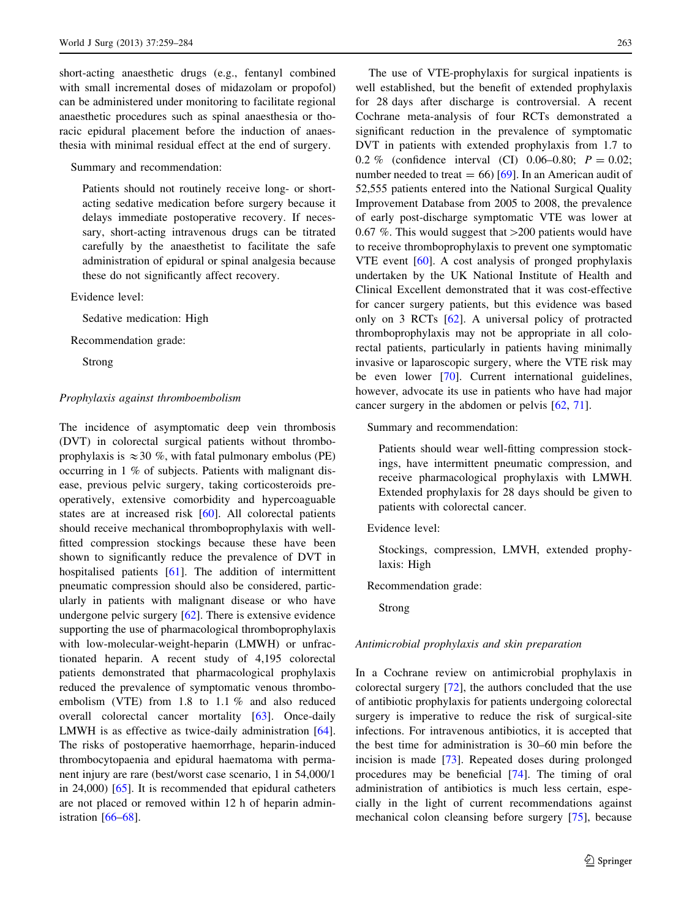short-acting anaesthetic drugs (e.g., fentanyl combined with small incremental doses of midazolam or propofol) can be administered under monitoring to facilitate regional anaesthetic procedures such as spinal anaesthesia or thoracic epidural placement before the induction of anaesthesia with minimal residual effect at the end of surgery.

Summary and recommendation:

Patients should not routinely receive long- or shortacting sedative medication before surgery because it delays immediate postoperative recovery. If necessary, short-acting intravenous drugs can be titrated carefully by the anaesthetist to facilitate the safe administration of epidural or spinal analgesia because these do not significantly affect recovery.

Evidence level:

Sedative medication: High

Recommendation grade:

Strong

# Prophylaxis against thromboembolism

The incidence of asymptomatic deep vein thrombosis (DVT) in colorectal surgical patients without thromboprophylaxis is  $\approx$  30 %, with fatal pulmonary embolus (PE) occurring in 1 % of subjects. Patients with malignant disease, previous pelvic surgery, taking corticosteroids preoperatively, extensive comorbidity and hypercoaguable states are at increased risk [\[60](#page-20-0)]. All colorectal patients should receive mechanical thromboprophylaxis with wellfitted compression stockings because these have been shown to significantly reduce the prevalence of DVT in hospitalised patients [\[61](#page-20-0)]. The addition of intermittent pneumatic compression should also be considered, particularly in patients with malignant disease or who have undergone pelvic surgery [\[62](#page-20-0)]. There is extensive evidence supporting the use of pharmacological thromboprophylaxis with low-molecular-weight-heparin (LMWH) or unfractionated heparin. A recent study of 4,195 colorectal patients demonstrated that pharmacological prophylaxis reduced the prevalence of symptomatic venous thromboembolism (VTE) from 1.8 to 1.1 % and also reduced overall colorectal cancer mortality [[63\]](#page-20-0). Once-daily LMWH is as effective as twice-daily administration [\[64](#page-20-0)]. The risks of postoperative haemorrhage, heparin-induced thrombocytopaenia and epidural haematoma with permanent injury are rare (best/worst case scenario, 1 in 54,000/1 in 24,000) [[65\]](#page-20-0). It is recommended that epidural catheters are not placed or removed within 12 h of heparin administration [[66–68](#page-20-0)].

The use of VTE-prophylaxis for surgical inpatients is well established, but the benefit of extended prophylaxis for 28 days after discharge is controversial. A recent Cochrane meta-analysis of four RCTs demonstrated a significant reduction in the prevalence of symptomatic DVT in patients with extended prophylaxis from 1.7 to 0.2 % (confidence interval (CI) 0.06–0.80;  $P = 0.02$ ; number needed to treat  $= 66$ ) [\[69](#page-20-0)]. In an American audit of 52,555 patients entered into the National Surgical Quality Improvement Database from 2005 to 2008, the prevalence of early post-discharge symptomatic VTE was lower at 0.67 %. This would suggest that  $>200$  patients would have to receive thromboprophylaxis to prevent one symptomatic VTE event [\[60](#page-20-0)]. A cost analysis of pronged prophylaxis undertaken by the UK National Institute of Health and Clinical Excellent demonstrated that it was cost-effective for cancer surgery patients, but this evidence was based only on 3 RCTs [[62](#page-20-0)]. A universal policy of protracted thromboprophylaxis may not be appropriate in all colorectal patients, particularly in patients having minimally invasive or laparoscopic surgery, where the VTE risk may be even lower [\[70](#page-20-0)]. Current international guidelines, however, advocate its use in patients who have had major cancer surgery in the abdomen or pelvis [[62,](#page-20-0) [71\]](#page-20-0).

Summary and recommendation:

Patients should wear well-fitting compression stockings, have intermittent pneumatic compression, and receive pharmacological prophylaxis with LMWH. Extended prophylaxis for 28 days should be given to patients with colorectal cancer.

Evidence level:

Stockings, compression, LMVH, extended prophylaxis: High

Recommendation grade:

Strong

# Antimicrobial prophylaxis and skin preparation

In a Cochrane review on antimicrobial prophylaxis in colorectal surgery [[72](#page-21-0)], the authors concluded that the use of antibiotic prophylaxis for patients undergoing colorectal surgery is imperative to reduce the risk of surgical-site infections. For intravenous antibiotics, it is accepted that the best time for administration is 30–60 min before the incision is made [[73\]](#page-21-0). Repeated doses during prolonged procedures may be beneficial [[74\]](#page-21-0). The timing of oral administration of antibiotics is much less certain, especially in the light of current recommendations against mechanical colon cleansing before surgery [\[75](#page-21-0)], because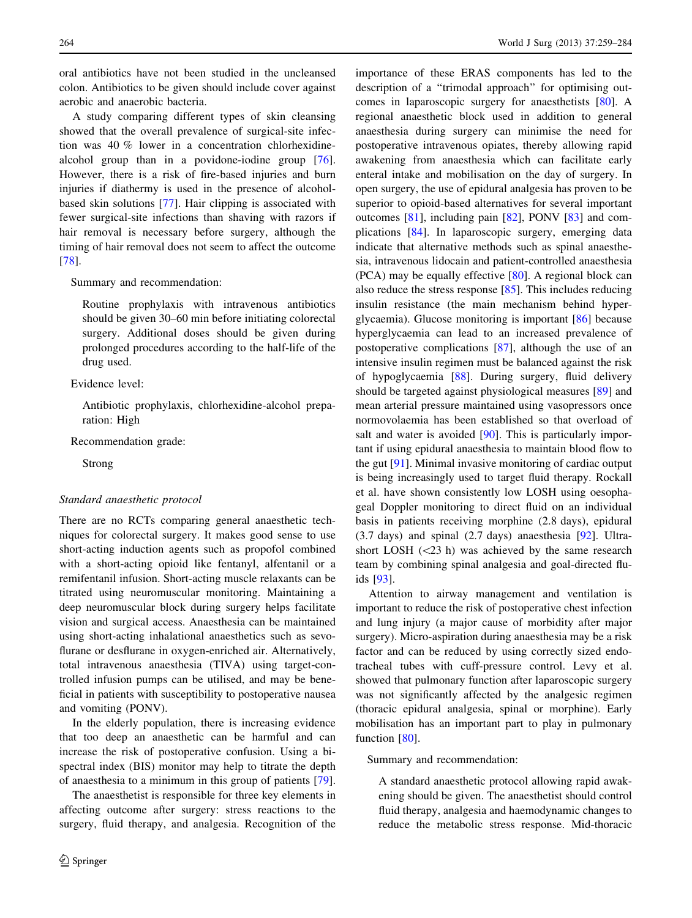oral antibiotics have not been studied in the uncleansed colon. Antibiotics to be given should include cover against aerobic and anaerobic bacteria.

A study comparing different types of skin cleansing showed that the overall prevalence of surgical-site infection was 40 % lower in a concentration chlorhexidinealcohol group than in a povidone-iodine group [\[76](#page-21-0)]. However, there is a risk of fire-based injuries and burn injuries if diathermy is used in the presence of alcoholbased skin solutions [\[77](#page-21-0)]. Hair clipping is associated with fewer surgical-site infections than shaving with razors if hair removal is necessary before surgery, although the timing of hair removal does not seem to affect the outcome [\[78](#page-21-0)].

Summary and recommendation:

Routine prophylaxis with intravenous antibiotics should be given 30–60 min before initiating colorectal surgery. Additional doses should be given during prolonged procedures according to the half-life of the drug used.

Evidence level:

Antibiotic prophylaxis, chlorhexidine-alcohol preparation: High

Recommendation grade:

Strong

# Standard anaesthetic protocol

There are no RCTs comparing general anaesthetic techniques for colorectal surgery. It makes good sense to use short-acting induction agents such as propofol combined with a short-acting opioid like fentanyl, alfentanil or a remifentanil infusion. Short-acting muscle relaxants can be titrated using neuromuscular monitoring. Maintaining a deep neuromuscular block during surgery helps facilitate vision and surgical access. Anaesthesia can be maintained using short-acting inhalational anaesthetics such as sevoflurane or desflurane in oxygen-enriched air. Alternatively, total intravenous anaesthesia (TIVA) using target-controlled infusion pumps can be utilised, and may be beneficial in patients with susceptibility to postoperative nausea and vomiting (PONV).

In the elderly population, there is increasing evidence that too deep an anaesthetic can be harmful and can increase the risk of postoperative confusion. Using a bispectral index (BIS) monitor may help to titrate the depth of anaesthesia to a minimum in this group of patients [\[79](#page-21-0)].

The anaesthetist is responsible for three key elements in affecting outcome after surgery: stress reactions to the surgery, fluid therapy, and analgesia. Recognition of the importance of these ERAS components has led to the description of a ''trimodal approach'' for optimising outcomes in laparoscopic surgery for anaesthetists [\[80](#page-21-0)]. A regional anaesthetic block used in addition to general anaesthesia during surgery can minimise the need for postoperative intravenous opiates, thereby allowing rapid awakening from anaesthesia which can facilitate early enteral intake and mobilisation on the day of surgery. In open surgery, the use of epidural analgesia has proven to be superior to opioid-based alternatives for several important outcomes [\[81](#page-21-0)], including pain [[82\]](#page-21-0), PONV [\[83\]](#page-21-0) and complications [\[84](#page-21-0)]. In laparoscopic surgery, emerging data indicate that alternative methods such as spinal anaesthesia, intravenous lidocain and patient-controlled anaesthesia (PCA) may be equally effective [[80\]](#page-21-0). A regional block can also reduce the stress response [[85\]](#page-21-0). This includes reducing insulin resistance (the main mechanism behind hyperglycaemia). Glucose monitoring is important [[86\]](#page-21-0) because hyperglycaemia can lead to an increased prevalence of postoperative complications [\[87](#page-21-0)], although the use of an intensive insulin regimen must be balanced against the risk of hypoglycaemia [[88](#page-21-0)]. During surgery, fluid delivery should be targeted against physiological measures [[89\]](#page-21-0) and mean arterial pressure maintained using vasopressors once normovolaemia has been established so that overload of salt and water is avoided [\[90](#page-21-0)]. This is particularly important if using epidural anaesthesia to maintain blood flow to the gut [\[91](#page-21-0)]. Minimal invasive monitoring of cardiac output is being increasingly used to target fluid therapy. Rockall et al. have shown consistently low LOSH using oesophageal Doppler monitoring to direct fluid on an individual basis in patients receiving morphine (2.8 days), epidural (3.7 days) and spinal (2.7 days) anaesthesia [[92\]](#page-21-0). Ultrashort LOSH  $(<23$  h) was achieved by the same research team by combining spinal analgesia and goal-directed fluids [\[93](#page-21-0)].

Attention to airway management and ventilation is important to reduce the risk of postoperative chest infection and lung injury (a major cause of morbidity after major surgery). Micro-aspiration during anaesthesia may be a risk factor and can be reduced by using correctly sized endotracheal tubes with cuff-pressure control. Levy et al. showed that pulmonary function after laparoscopic surgery was not significantly affected by the analgesic regimen (thoracic epidural analgesia, spinal or morphine). Early mobilisation has an important part to play in pulmonary function [\[80](#page-21-0)].

Summary and recommendation:

A standard anaesthetic protocol allowing rapid awakening should be given. The anaesthetist should control fluid therapy, analgesia and haemodynamic changes to reduce the metabolic stress response. Mid-thoracic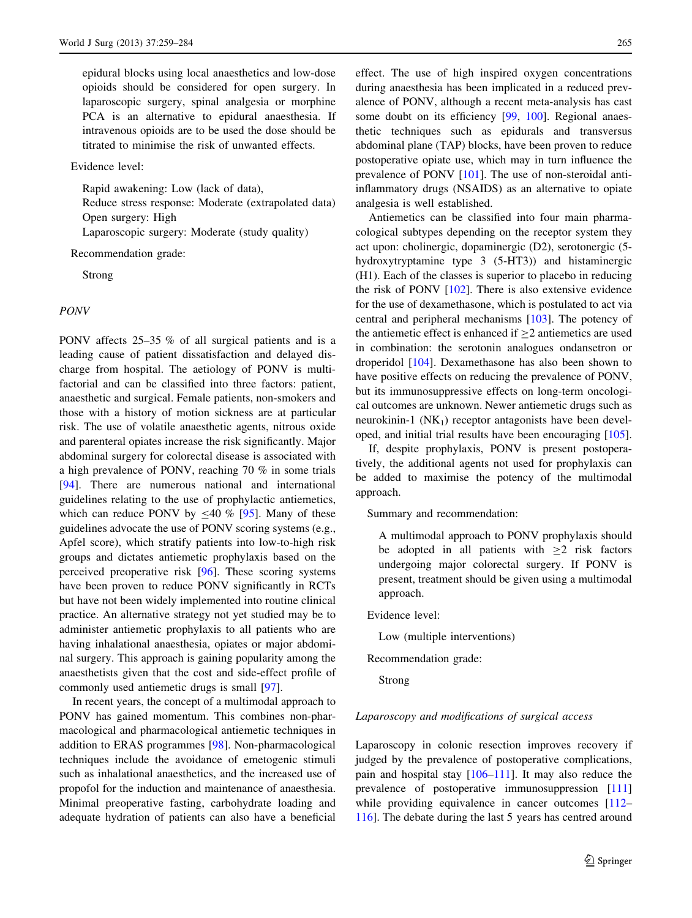epidural blocks using local anaesthetics and low-dose opioids should be considered for open surgery. In laparoscopic surgery, spinal analgesia or morphine PCA is an alternative to epidural anaesthesia. If intravenous opioids are to be used the dose should be titrated to minimise the risk of unwanted effects.

Evidence level:

Rapid awakening: Low (lack of data), Reduce stress response: Moderate (extrapolated data)

Open surgery: High

Laparoscopic surgery: Moderate (study quality)

Recommendation grade:

Strong

# PONV

PONV affects 25–35 % of all surgical patients and is a leading cause of patient dissatisfaction and delayed discharge from hospital. The aetiology of PONV is multifactorial and can be classified into three factors: patient, anaesthetic and surgical. Female patients, non-smokers and those with a history of motion sickness are at particular risk. The use of volatile anaesthetic agents, nitrous oxide and parenteral opiates increase the risk significantly. Major abdominal surgery for colorectal disease is associated with a high prevalence of PONV, reaching 70 % in some trials [\[94](#page-21-0)]. There are numerous national and international guidelines relating to the use of prophylactic antiemetics, which can reduce PONV by  $\leq 40 \%$  [\[95](#page-21-0)]. Many of these guidelines advocate the use of PONV scoring systems (e.g., Apfel score), which stratify patients into low-to-high risk groups and dictates antiemetic prophylaxis based on the perceived preoperative risk [\[96](#page-21-0)]. These scoring systems have been proven to reduce PONV significantly in RCTs but have not been widely implemented into routine clinical practice. An alternative strategy not yet studied may be to administer antiemetic prophylaxis to all patients who are having inhalational anaesthesia, opiates or major abdominal surgery. This approach is gaining popularity among the anaesthetists given that the cost and side-effect profile of commonly used antiemetic drugs is small [[97\]](#page-21-0).

In recent years, the concept of a multimodal approach to PONV has gained momentum. This combines non-pharmacological and pharmacological antiemetic techniques in addition to ERAS programmes [[98\]](#page-21-0). Non-pharmacological techniques include the avoidance of emetogenic stimuli such as inhalational anaesthetics, and the increased use of propofol for the induction and maintenance of anaesthesia. Minimal preoperative fasting, carbohydrate loading and adequate hydration of patients can also have a beneficial effect. The use of high inspired oxygen concentrations during anaesthesia has been implicated in a reduced prevalence of PONV, although a recent meta-analysis has cast some doubt on its efficiency [\[99](#page-21-0), [100](#page-21-0)]. Regional anaesthetic techniques such as epidurals and transversus abdominal plane (TAP) blocks, have been proven to reduce postoperative opiate use, which may in turn influence the prevalence of PONV [\[101](#page-21-0)]. The use of non-steroidal antiinflammatory drugs (NSAIDS) as an alternative to opiate analgesia is well established.

Antiemetics can be classified into four main pharmacological subtypes depending on the receptor system they act upon: cholinergic, dopaminergic (D2), serotonergic (5 hydroxytryptamine type 3 (5-HT3)) and histaminergic (H1). Each of the classes is superior to placebo in reducing the risk of PONV  $[102]$  $[102]$ . There is also extensive evidence for the use of dexamethasone, which is postulated to act via central and peripheral mechanisms [\[103](#page-21-0)]. The potency of the antiemetic effect is enhanced if  $\geq$  2 antiemetics are used in combination: the serotonin analogues ondansetron or droperidol [[104\]](#page-21-0). Dexamethasone has also been shown to have positive effects on reducing the prevalence of PONV, but its immunosuppressive effects on long-term oncological outcomes are unknown. Newer antiemetic drugs such as neurokinin-1  $(NK_1)$  receptor antagonists have been developed, and initial trial results have been encouraging [\[105](#page-21-0)].

If, despite prophylaxis, PONV is present postoperatively, the additional agents not used for prophylaxis can be added to maximise the potency of the multimodal approach.

Summary and recommendation:

A multimodal approach to PONV prophylaxis should be adopted in all patients with  $\geq 2$  risk factors undergoing major colorectal surgery. If PONV is present, treatment should be given using a multimodal approach.

Evidence level:

Low (multiple interventions)

Recommendation grade:

Strong

#### Laparoscopy and modifications of surgical access

Laparoscopy in colonic resection improves recovery if judged by the prevalence of postoperative complications, pain and hospital stay [[106–](#page-21-0)[111\]](#page-22-0). It may also reduce the prevalence of postoperative immunosuppression [[111\]](#page-22-0) while providing equivalence in cancer outcomes [\[112](#page-22-0)– [116](#page-22-0)]. The debate during the last 5 years has centred around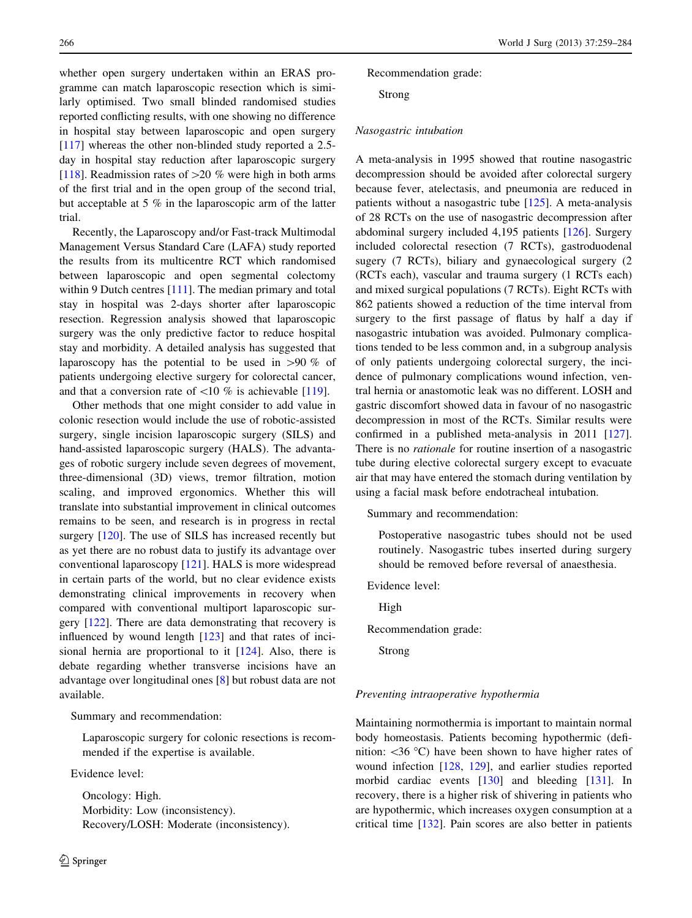whether open surgery undertaken within an ERAS programme can match laparoscopic resection which is similarly optimised. Two small blinded randomised studies reported conflicting results, with one showing no difference in hospital stay between laparoscopic and open surgery [\[117](#page-22-0)] whereas the other non-blinded study reported a 2.5 day in hospital stay reduction after laparoscopic surgery [\[118](#page-22-0)]. Readmission rates of  $>20$  % were high in both arms of the first trial and in the open group of the second trial, but acceptable at 5 % in the laparoscopic arm of the latter trial.

Recently, the Laparoscopy and/or Fast-track Multimodal Management Versus Standard Care (LAFA) study reported the results from its multicentre RCT which randomised between laparoscopic and open segmental colectomy within 9 Dutch centres [\[111](#page-22-0)]. The median primary and total stay in hospital was 2-days shorter after laparoscopic resection. Regression analysis showed that laparoscopic surgery was the only predictive factor to reduce hospital stay and morbidity. A detailed analysis has suggested that laparoscopy has the potential to be used in  $>90\%$  of patients undergoing elective surgery for colorectal cancer, and that a conversion rate of  $\langle 10 \% \rangle$  is achievable [\[119](#page-22-0)].

Other methods that one might consider to add value in colonic resection would include the use of robotic-assisted surgery, single incision laparoscopic surgery (SILS) and hand-assisted laparoscopic surgery (HALS). The advantages of robotic surgery include seven degrees of movement, three-dimensional (3D) views, tremor filtration, motion scaling, and improved ergonomics. Whether this will translate into substantial improvement in clinical outcomes remains to be seen, and research is in progress in rectal surgery [[120\]](#page-22-0). The use of SILS has increased recently but as yet there are no robust data to justify its advantage over conventional laparoscopy [[121\]](#page-22-0). HALS is more widespread in certain parts of the world, but no clear evidence exists demonstrating clinical improvements in recovery when compared with conventional multiport laparoscopic surgery [[122\]](#page-22-0). There are data demonstrating that recovery is influenced by wound length [[123\]](#page-22-0) and that rates of incisional hernia are proportional to it [\[124](#page-22-0)]. Also, there is debate regarding whether transverse incisions have an advantage over longitudinal ones [\[8](#page-19-0)] but robust data are not available.

Summary and recommendation:

Laparoscopic surgery for colonic resections is recommended if the expertise is available.

Evidence level:

Oncology: High. Morbidity: Low (inconsistency). Recovery/LOSH: Moderate (inconsistency). Recommendation grade:

Strong

#### Nasogastric intubation

A meta-analysis in 1995 showed that routine nasogastric decompression should be avoided after colorectal surgery because fever, atelectasis, and pneumonia are reduced in patients without a nasogastric tube [[125\]](#page-22-0). A meta-analysis of 28 RCTs on the use of nasogastric decompression after abdominal surgery included 4,195 patients [\[126](#page-22-0)]. Surgery included colorectal resection (7 RCTs), gastroduodenal sugery (7 RCTs), biliary and gynaecological surgery (2 (RCTs each), vascular and trauma surgery (1 RCTs each) and mixed surgical populations (7 RCTs). Eight RCTs with 862 patients showed a reduction of the time interval from surgery to the first passage of flatus by half a day if nasogastric intubation was avoided. Pulmonary complications tended to be less common and, in a subgroup analysis of only patients undergoing colorectal surgery, the incidence of pulmonary complications wound infection, ventral hernia or anastomotic leak was no different. LOSH and gastric discomfort showed data in favour of no nasogastric decompression in most of the RCTs. Similar results were confirmed in a published meta-analysis in 2011 [\[127](#page-22-0)]. There is no *rationale* for routine insertion of a nasogastric tube during elective colorectal surgery except to evacuate air that may have entered the stomach during ventilation by using a facial mask before endotracheal intubation.

Summary and recommendation:

Postoperative nasogastric tubes should not be used routinely. Nasogastric tubes inserted during surgery should be removed before reversal of anaesthesia.

Evidence level:

High

Recommendation grade:

Strong

#### Preventing intraoperative hypothermia

Maintaining normothermia is important to maintain normal body homeostasis. Patients becoming hypothermic (definition:  $\langle 36 \,^{\circ} \text{C} \rangle$  have been shown to have higher rates of wound infection [[128,](#page-22-0) [129\]](#page-22-0), and earlier studies reported morbid cardiac events [\[130](#page-22-0)] and bleeding [[131\]](#page-22-0). In recovery, there is a higher risk of shivering in patients who are hypothermic, which increases oxygen consumption at a critical time [\[132](#page-22-0)]. Pain scores are also better in patients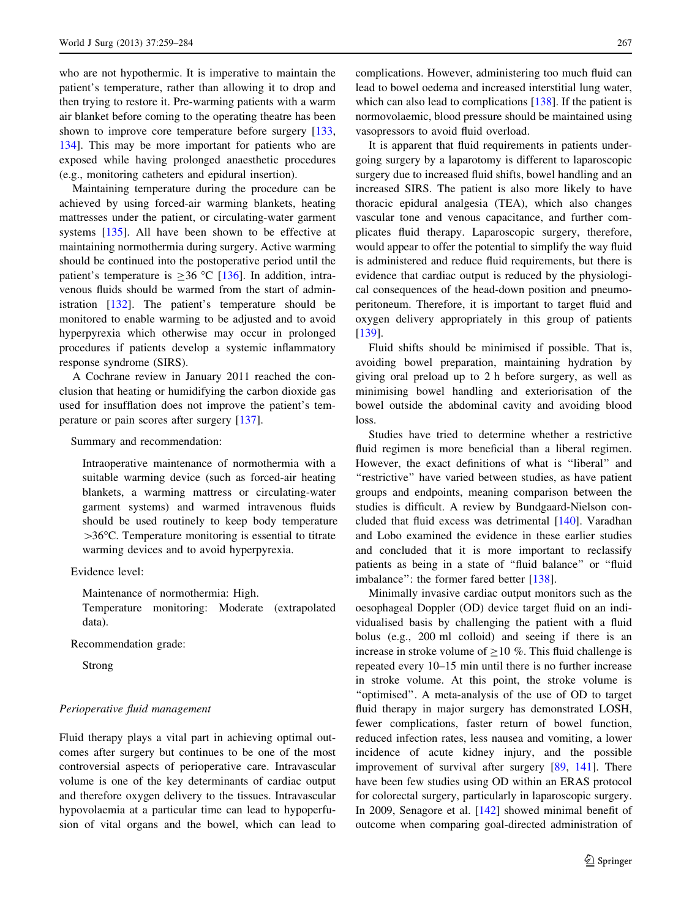who are not hypothermic. It is imperative to maintain the patient's temperature, rather than allowing it to drop and then trying to restore it. Pre-warming patients with a warm air blanket before coming to the operating theatre has been shown to improve core temperature before surgery [[133,](#page-22-0) [134\]](#page-22-0). This may be more important for patients who are exposed while having prolonged anaesthetic procedures (e.g., monitoring catheters and epidural insertion).

Maintaining temperature during the procedure can be achieved by using forced-air warming blankets, heating mattresses under the patient, or circulating-water garment systems [\[135](#page-22-0)]. All have been shown to be effective at maintaining normothermia during surgery. Active warming should be continued into the postoperative period until the patient's temperature is  $\geq$ 36 °C [[136\]](#page-22-0). In addition, intravenous fluids should be warmed from the start of administration [\[132](#page-22-0)]. The patient's temperature should be monitored to enable warming to be adjusted and to avoid hyperpyrexia which otherwise may occur in prolonged procedures if patients develop a systemic inflammatory response syndrome (SIRS).

A Cochrane review in January 2011 reached the conclusion that heating or humidifying the carbon dioxide gas used for insufflation does not improve the patient's temperature or pain scores after surgery [[137\]](#page-22-0).

Summary and recommendation:

Intraoperative maintenance of normothermia with a suitable warming device (such as forced-air heating blankets, a warming mattress or circulating-water garment systems) and warmed intravenous fluids should be used routinely to keep body temperature  $>36^{\circ}$ C. Temperature monitoring is essential to titrate warming devices and to avoid hyperpyrexia.

Evidence level:

Maintenance of normothermia: High.

Temperature monitoring: Moderate (extrapolated data).

Recommendation grade:

Strong

#### Perioperative fluid management

Fluid therapy plays a vital part in achieving optimal outcomes after surgery but continues to be one of the most controversial aspects of perioperative care. Intravascular volume is one of the key determinants of cardiac output and therefore oxygen delivery to the tissues. Intravascular hypovolaemia at a particular time can lead to hypoperfusion of vital organs and the bowel, which can lead to complications. However, administering too much fluid can lead to bowel oedema and increased interstitial lung water, which can also lead to complications [\[138](#page-22-0)]. If the patient is normovolaemic, blood pressure should be maintained using vasopressors to avoid fluid overload.

It is apparent that fluid requirements in patients undergoing surgery by a laparotomy is different to laparoscopic surgery due to increased fluid shifts, bowel handling and an increased SIRS. The patient is also more likely to have thoracic epidural analgesia (TEA), which also changes vascular tone and venous capacitance, and further complicates fluid therapy. Laparoscopic surgery, therefore, would appear to offer the potential to simplify the way fluid is administered and reduce fluid requirements, but there is evidence that cardiac output is reduced by the physiological consequences of the head-down position and pneumoperitoneum. Therefore, it is important to target fluid and oxygen delivery appropriately in this group of patients [\[139](#page-22-0)].

Fluid shifts should be minimised if possible. That is, avoiding bowel preparation, maintaining hydration by giving oral preload up to 2 h before surgery, as well as minimising bowel handling and exteriorisation of the bowel outside the abdominal cavity and avoiding blood loss.

Studies have tried to determine whether a restrictive fluid regimen is more beneficial than a liberal regimen. However, the exact definitions of what is ''liberal'' and "restrictive" have varied between studies, as have patient groups and endpoints, meaning comparison between the studies is difficult. A review by Bundgaard-Nielson concluded that fluid excess was detrimental [[140\]](#page-22-0). Varadhan and Lobo examined the evidence in these earlier studies and concluded that it is more important to reclassify patients as being in a state of ''fluid balance'' or ''fluid imbalance'': the former fared better [[138\]](#page-22-0).

Minimally invasive cardiac output monitors such as the oesophageal Doppler (OD) device target fluid on an individualised basis by challenging the patient with a fluid bolus (e.g., 200 ml colloid) and seeing if there is an increase in stroke volume of  $>10$  %. This fluid challenge is repeated every 10–15 min until there is no further increase in stroke volume. At this point, the stroke volume is "optimised". A meta-analysis of the use of OD to target fluid therapy in major surgery has demonstrated LOSH, fewer complications, faster return of bowel function, reduced infection rates, less nausea and vomiting, a lower incidence of acute kidney injury, and the possible improvement of survival after surgery [\[89](#page-21-0), [141\]](#page-22-0). There have been few studies using OD within an ERAS protocol for colorectal surgery, particularly in laparoscopic surgery. In 2009, Senagore et al. [\[142](#page-22-0)] showed minimal benefit of outcome when comparing goal-directed administration of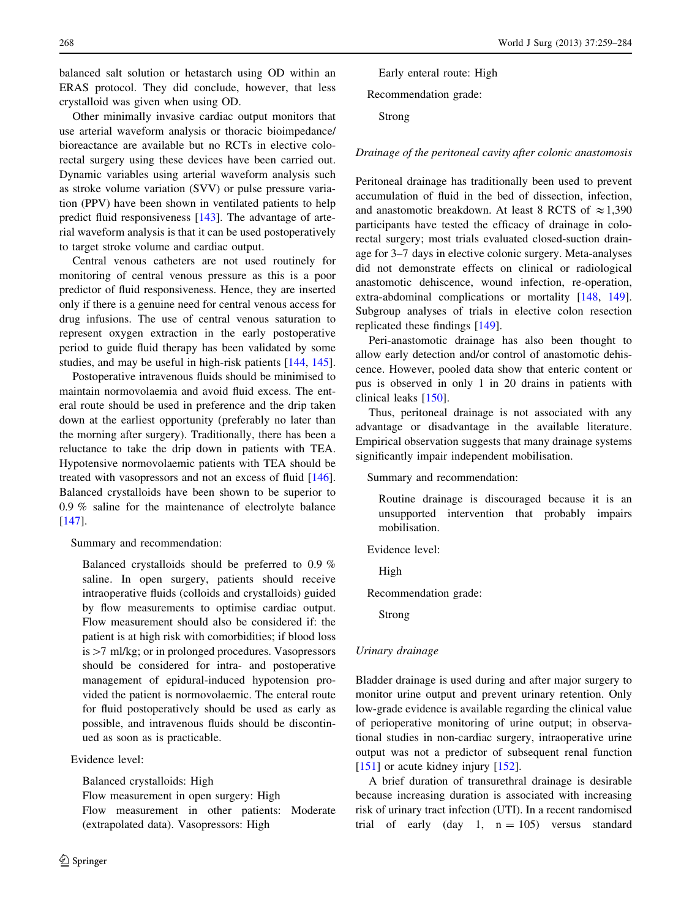balanced salt solution or hetastarch using OD within an ERAS protocol. They did conclude, however, that less crystalloid was given when using OD.

Other minimally invasive cardiac output monitors that use arterial waveform analysis or thoracic bioimpedance/ bioreactance are available but no RCTs in elective colorectal surgery using these devices have been carried out. Dynamic variables using arterial waveform analysis such as stroke volume variation (SVV) or pulse pressure variation (PPV) have been shown in ventilated patients to help predict fluid responsiveness [\[143](#page-22-0)]. The advantage of arterial waveform analysis is that it can be used postoperatively to target stroke volume and cardiac output.

Central venous catheters are not used routinely for monitoring of central venous pressure as this is a poor predictor of fluid responsiveness. Hence, they are inserted only if there is a genuine need for central venous access for drug infusions. The use of central venous saturation to represent oxygen extraction in the early postoperative period to guide fluid therapy has been validated by some studies, and may be useful in high-risk patients [\[144,](#page-23-0) [145](#page-23-0)].

Postoperative intravenous fluids should be minimised to maintain normovolaemia and avoid fluid excess. The enteral route should be used in preference and the drip taken down at the earliest opportunity (preferably no later than the morning after surgery). Traditionally, there has been a reluctance to take the drip down in patients with TEA. Hypotensive normovolaemic patients with TEA should be treated with vasopressors and not an excess of fluid [\[146](#page-23-0)]. Balanced crystalloids have been shown to be superior to 0.9 % saline for the maintenance of electrolyte balance [\[147](#page-23-0)].

Summary and recommendation:

Balanced crystalloids should be preferred to 0.9 % saline. In open surgery, patients should receive intraoperative fluids (colloids and crystalloids) guided by flow measurements to optimise cardiac output. Flow measurement should also be considered if: the patient is at high risk with comorbidities; if blood loss is  $>7$  ml/kg; or in prolonged procedures. Vasopressors should be considered for intra- and postoperative management of epidural-induced hypotension provided the patient is normovolaemic. The enteral route for fluid postoperatively should be used as early as possible, and intravenous fluids should be discontinued as soon as is practicable.

Evidence level:

Balanced crystalloids: High Flow measurement in open surgery: High Flow measurement in other patients: Moderate (extrapolated data). Vasopressors: High

Early enteral route: High Recommendation grade: Strong

Drainage of the peritoneal cavity after colonic anastomosis

Peritoneal drainage has traditionally been used to prevent accumulation of fluid in the bed of dissection, infection, and anastomotic breakdown. At least 8 RCTS of  $\approx 1,390$ participants have tested the efficacy of drainage in colorectal surgery; most trials evaluated closed-suction drainage for 3–7 days in elective colonic surgery. Meta-analyses did not demonstrate effects on clinical or radiological anastomotic dehiscence, wound infection, re-operation, extra-abdominal complications or mortality [\[148](#page-23-0), [149](#page-23-0)]. Subgroup analyses of trials in elective colon resection replicated these findings [[149\]](#page-23-0).

Peri-anastomotic drainage has also been thought to allow early detection and/or control of anastomotic dehiscence. However, pooled data show that enteric content or pus is observed in only 1 in 20 drains in patients with clinical leaks [\[150](#page-23-0)].

Thus, peritoneal drainage is not associated with any advantage or disadvantage in the available literature. Empirical observation suggests that many drainage systems significantly impair independent mobilisation.

Summary and recommendation:

Routine drainage is discouraged because it is an unsupported intervention that probably impairs mobilisation.

Evidence level:

High

Recommendation grade:

Strong

# Urinary drainage

Bladder drainage is used during and after major surgery to monitor urine output and prevent urinary retention. Only low-grade evidence is available regarding the clinical value of perioperative monitoring of urine output; in observational studies in non-cardiac surgery, intraoperative urine output was not a predictor of subsequent renal function [\[151](#page-23-0)] or acute kidney injury [\[152](#page-23-0)].

A brief duration of transurethral drainage is desirable because increasing duration is associated with increasing risk of urinary tract infection (UTI). In a recent randomised trial of early (day 1,  $n = 105$ ) versus standard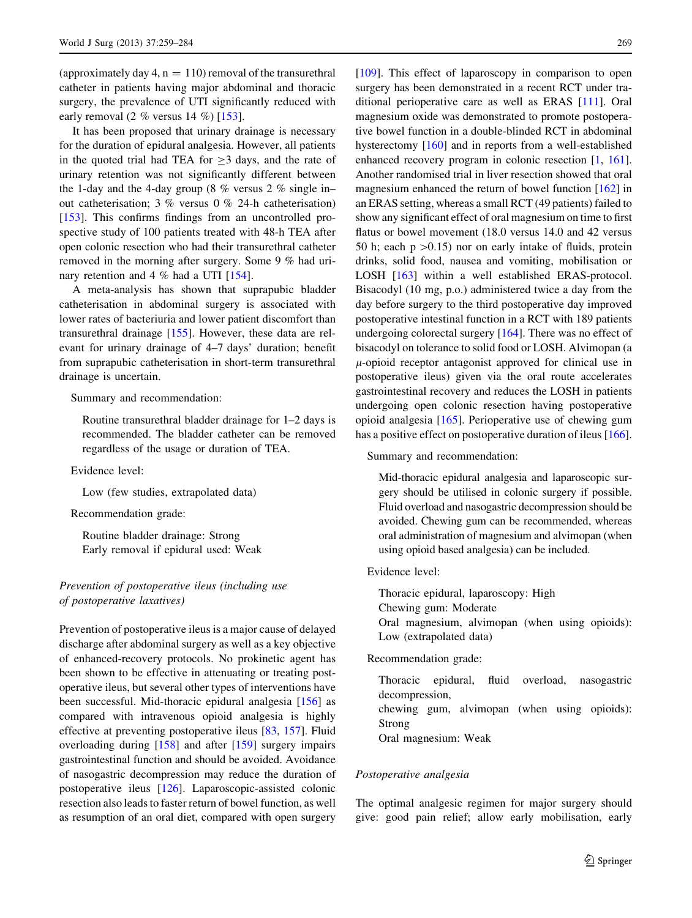(approximately day 4,  $n = 110$ ) removal of the transurethral catheter in patients having major abdominal and thoracic surgery, the prevalence of UTI significantly reduced with early removal  $(2 \% \text{ versus } 14 \%)$  [\[153](#page-23-0)].

It has been proposed that urinary drainage is necessary for the duration of epidural analgesia. However, all patients in the quoted trial had TEA for  $>3$  days, and the rate of urinary retention was not significantly different between the 1-day and the 4-day group (8  $%$  versus 2  $%$  single in– out catheterisation; 3 % versus 0 % 24-h catheterisation) [\[153](#page-23-0)]. This confirms findings from an uncontrolled prospective study of 100 patients treated with 48-h TEA after open colonic resection who had their transurethral catheter removed in the morning after surgery. Some 9 % had uri-nary retention and 4 % had a UTI [[154\]](#page-23-0).

A meta-analysis has shown that suprapubic bladder catheterisation in abdominal surgery is associated with lower rates of bacteriuria and lower patient discomfort than transurethral drainage [[155\]](#page-23-0). However, these data are relevant for urinary drainage of 4–7 days' duration; benefit from suprapubic catheterisation in short-term transurethral drainage is uncertain.

Summary and recommendation:

Routine transurethral bladder drainage for 1–2 days is recommended. The bladder catheter can be removed regardless of the usage or duration of TEA.

Evidence level:

Low (few studies, extrapolated data)

Recommendation grade:

Routine bladder drainage: Strong Early removal if epidural used: Weak

# Prevention of postoperative ileus (including use of postoperative laxatives)

Prevention of postoperative ileus is a major cause of delayed discharge after abdominal surgery as well as a key objective of enhanced-recovery protocols. No prokinetic agent has been shown to be effective in attenuating or treating postoperative ileus, but several other types of interventions have been successful. Mid-thoracic epidural analgesia [[156\]](#page-23-0) as compared with intravenous opioid analgesia is highly effective at preventing postoperative ileus [\[83](#page-21-0), [157](#page-23-0)]. Fluid overloading during [\[158](#page-23-0)] and after [[159\]](#page-23-0) surgery impairs gastrointestinal function and should be avoided. Avoidance of nasogastric decompression may reduce the duration of postoperative ileus [[126\]](#page-22-0). Laparoscopic-assisted colonic resection also leads to faster return of bowel function, as well as resumption of an oral diet, compared with open surgery

[\[109](#page-22-0)]. This effect of laparoscopy in comparison to open surgery has been demonstrated in a recent RCT under traditional perioperative care as well as ERAS [\[111](#page-22-0)]. Oral magnesium oxide was demonstrated to promote postoperative bowel function in a double-blinded RCT in abdominal hysterectomy [[160\]](#page-23-0) and in reports from a well-established enhanced recovery program in colonic resection [\[1](#page-18-0), [161](#page-23-0)]. Another randomised trial in liver resection showed that oral magnesium enhanced the return of bowel function [\[162](#page-23-0)] in an ERAS setting, whereas a small RCT (49 patients) failed to show any significant effect of oral magnesium on time to first flatus or bowel movement (18.0 versus 14.0 and 42 versus 50 h; each  $p > 0.15$ ) nor on early intake of fluids, protein drinks, solid food, nausea and vomiting, mobilisation or LOSH [\[163](#page-23-0)] within a well established ERAS-protocol. Bisacodyl (10 mg, p.o.) administered twice a day from the day before surgery to the third postoperative day improved postoperative intestinal function in a RCT with 189 patients undergoing colorectal surgery [[164\]](#page-23-0). There was no effect of bisacodyl on tolerance to solid food or LOSH. Alvimopan (a  $\mu$ -opioid receptor antagonist approved for clinical use in postoperative ileus) given via the oral route accelerates gastrointestinal recovery and reduces the LOSH in patients undergoing open colonic resection having postoperative opioid analgesia [\[165](#page-23-0)]. Perioperative use of chewing gum has a positive effect on postoperative duration of ileus [\[166](#page-23-0)].

Summary and recommendation:

Mid-thoracic epidural analgesia and laparoscopic surgery should be utilised in colonic surgery if possible. Fluid overload and nasogastric decompression should be avoided. Chewing gum can be recommended, whereas oral administration of magnesium and alvimopan (when using opioid based analgesia) can be included.

Evidence level:

Thoracic epidural, laparoscopy: High Chewing gum: Moderate Oral magnesium, alvimopan (when using opioids): Low (extrapolated data)

Recommendation grade:

Thoracic epidural, fluid overload, nasogastric decompression, chewing gum, alvimopan (when using opioids): Strong Oral magnesium: Weak

# Postoperative analgesia

The optimal analgesic regimen for major surgery should give: good pain relief; allow early mobilisation, early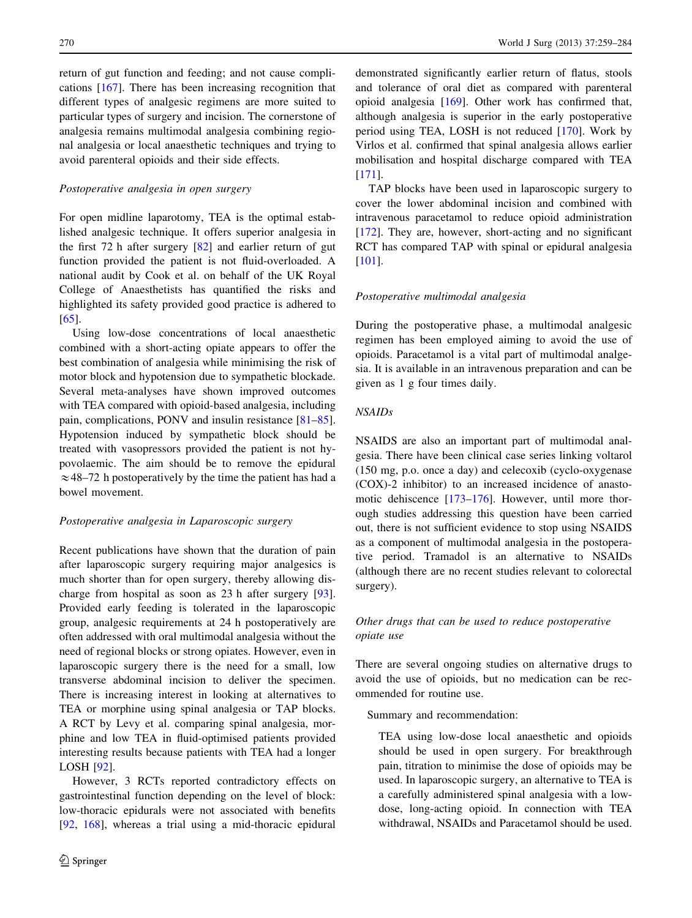return of gut function and feeding; and not cause complications [[167\]](#page-23-0). There has been increasing recognition that different types of analgesic regimens are more suited to particular types of surgery and incision. The cornerstone of analgesia remains multimodal analgesia combining regional analgesia or local anaesthetic techniques and trying to avoid parenteral opioids and their side effects.

# Postoperative analgesia in open surgery

For open midline laparotomy, TEA is the optimal established analgesic technique. It offers superior analgesia in the first 72 h after surgery [[82\]](#page-21-0) and earlier return of gut function provided the patient is not fluid-overloaded. A national audit by Cook et al. on behalf of the UK Royal College of Anaesthetists has quantified the risks and highlighted its safety provided good practice is adhered to [\[65](#page-20-0)].

Using low-dose concentrations of local anaesthetic combined with a short-acting opiate appears to offer the best combination of analgesia while minimising the risk of motor block and hypotension due to sympathetic blockade. Several meta-analyses have shown improved outcomes with TEA compared with opioid-based analgesia, including pain, complications, PONV and insulin resistance [\[81–85](#page-21-0)]. Hypotension induced by sympathetic block should be treated with vasopressors provided the patient is not hypovolaemic. The aim should be to remove the epidural  $\approx$  48–72 h postoperatively by the time the patient has had a bowel movement.

#### Postoperative analgesia in Laparoscopic surgery

Recent publications have shown that the duration of pain after laparoscopic surgery requiring major analgesics is much shorter than for open surgery, thereby allowing discharge from hospital as soon as 23 h after surgery [\[93](#page-21-0)]. Provided early feeding is tolerated in the laparoscopic group, analgesic requirements at 24 h postoperatively are often addressed with oral multimodal analgesia without the need of regional blocks or strong opiates. However, even in laparoscopic surgery there is the need for a small, low transverse abdominal incision to deliver the specimen. There is increasing interest in looking at alternatives to TEA or morphine using spinal analgesia or TAP blocks. A RCT by Levy et al. comparing spinal analgesia, morphine and low TEA in fluid-optimised patients provided interesting results because patients with TEA had a longer LOSH [[92\]](#page-21-0).

However, 3 RCTs reported contradictory effects on gastrointestinal function depending on the level of block: low-thoracic epidurals were not associated with benefits [\[92](#page-21-0), [168\]](#page-23-0), whereas a trial using a mid-thoracic epidural demonstrated significantly earlier return of flatus, stools and tolerance of oral diet as compared with parenteral opioid analgesia [[169\]](#page-23-0). Other work has confirmed that, although analgesia is superior in the early postoperative period using TEA, LOSH is not reduced [[170\]](#page-23-0). Work by Virlos et al. confirmed that spinal analgesia allows earlier mobilisation and hospital discharge compared with TEA [\[171](#page-23-0)].

TAP blocks have been used in laparoscopic surgery to cover the lower abdominal incision and combined with intravenous paracetamol to reduce opioid administration [\[172](#page-23-0)]. They are, however, short-acting and no significant RCT has compared TAP with spinal or epidural analgesia [\[101](#page-21-0)].

#### Postoperative multimodal analgesia

During the postoperative phase, a multimodal analgesic regimen has been employed aiming to avoid the use of opioids. Paracetamol is a vital part of multimodal analgesia. It is available in an intravenous preparation and can be given as 1 g four times daily.

# NSAIDs

NSAIDS are also an important part of multimodal analgesia. There have been clinical case series linking voltarol (150 mg, p.o. once a day) and celecoxib (cyclo-oxygenase (COX)-2 inhibitor) to an increased incidence of anastomotic dehiscence [\[173–176](#page-23-0)]. However, until more thorough studies addressing this question have been carried out, there is not sufficient evidence to stop using NSAIDS as a component of multimodal analgesia in the postoperative period. Tramadol is an alternative to NSAIDs (although there are no recent studies relevant to colorectal surgery).

# Other drugs that can be used to reduce postoperative opiate use

There are several ongoing studies on alternative drugs to avoid the use of opioids, but no medication can be recommended for routine use.

Summary and recommendation:

TEA using low-dose local anaesthetic and opioids should be used in open surgery. For breakthrough pain, titration to minimise the dose of opioids may be used. In laparoscopic surgery, an alternative to TEA is a carefully administered spinal analgesia with a lowdose, long-acting opioid. In connection with TEA withdrawal, NSAIDs and Paracetamol should be used.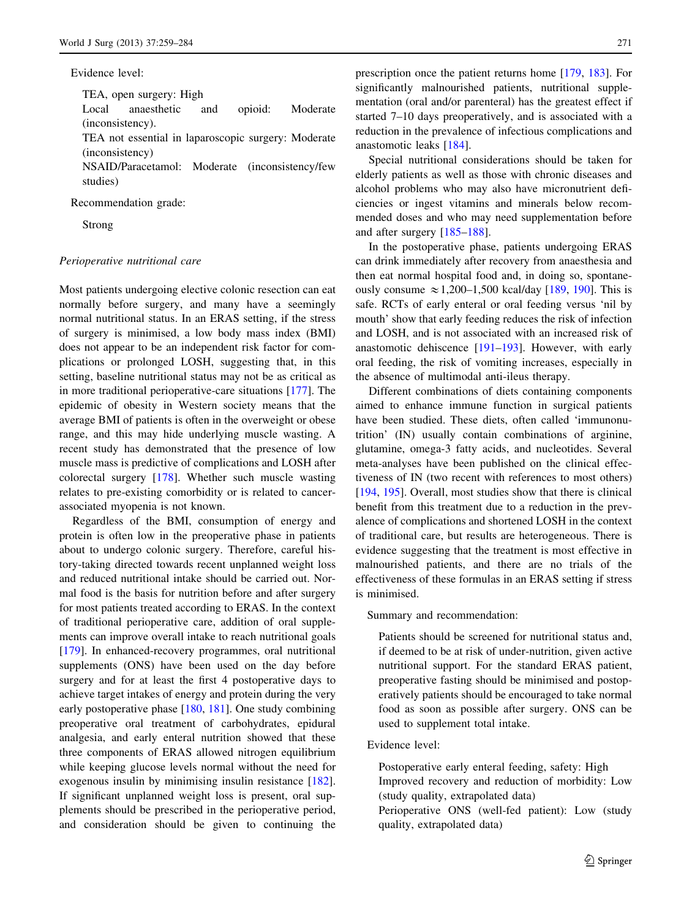#### Evidence level:

TEA, open surgery: High Local anaesthetic and opioid: Moderate

(inconsistency). TEA not essential in laparoscopic surgery: Moderate (inconsistency)

NSAID/Paracetamol: Moderate (inconsistency/few studies)

Recommendation grade:

Strong

#### Perioperative nutritional care

Most patients undergoing elective colonic resection can eat normally before surgery, and many have a seemingly normal nutritional status. In an ERAS setting, if the stress of surgery is minimised, a low body mass index (BMI) does not appear to be an independent risk factor for complications or prolonged LOSH, suggesting that, in this setting, baseline nutritional status may not be as critical as in more traditional perioperative-care situations [[177\]](#page-23-0). The epidemic of obesity in Western society means that the average BMI of patients is often in the overweight or obese range, and this may hide underlying muscle wasting. A recent study has demonstrated that the presence of low muscle mass is predictive of complications and LOSH after colorectal surgery [[178\]](#page-24-0). Whether such muscle wasting relates to pre-existing comorbidity or is related to cancerassociated myopenia is not known.

Regardless of the BMI, consumption of energy and protein is often low in the preoperative phase in patients about to undergo colonic surgery. Therefore, careful history-taking directed towards recent unplanned weight loss and reduced nutritional intake should be carried out. Normal food is the basis for nutrition before and after surgery for most patients treated according to ERAS. In the context of traditional perioperative care, addition of oral supplements can improve overall intake to reach nutritional goals [\[179](#page-24-0)]. In enhanced-recovery programmes, oral nutritional supplements (ONS) have been used on the day before surgery and for at least the first 4 postoperative days to achieve target intakes of energy and protein during the very early postoperative phase [\[180](#page-24-0), [181](#page-24-0)]. One study combining preoperative oral treatment of carbohydrates, epidural analgesia, and early enteral nutrition showed that these three components of ERAS allowed nitrogen equilibrium while keeping glucose levels normal without the need for exogenous insulin by minimising insulin resistance [\[182](#page-24-0)]. If significant unplanned weight loss is present, oral supplements should be prescribed in the perioperative period, and consideration should be given to continuing the prescription once the patient returns home [[179,](#page-24-0) [183](#page-24-0)]. For significantly malnourished patients, nutritional supplementation (oral and/or parenteral) has the greatest effect if started 7–10 days preoperatively, and is associated with a reduction in the prevalence of infectious complications and anastomotic leaks [\[184](#page-24-0)].

Special nutritional considerations should be taken for elderly patients as well as those with chronic diseases and alcohol problems who may also have micronutrient deficiencies or ingest vitamins and minerals below recommended doses and who may need supplementation before and after surgery [\[185–188](#page-24-0)].

In the postoperative phase, patients undergoing ERAS can drink immediately after recovery from anaesthesia and then eat normal hospital food and, in doing so, spontaneously consume  $\approx 1,200-1,500$  kcal/day [[189,](#page-24-0) [190](#page-24-0)]. This is safe. RCTs of early enteral or oral feeding versus 'nil by mouth' show that early feeding reduces the risk of infection and LOSH, and is not associated with an increased risk of anastomotic dehiscence [[191–193\]](#page-24-0). However, with early oral feeding, the risk of vomiting increases, especially in the absence of multimodal anti-ileus therapy.

Different combinations of diets containing components aimed to enhance immune function in surgical patients have been studied. These diets, often called 'immunonutrition' (IN) usually contain combinations of arginine, glutamine, omega-3 fatty acids, and nucleotides. Several meta-analyses have been published on the clinical effectiveness of IN (two recent with references to most others) [\[194](#page-24-0), [195\]](#page-24-0). Overall, most studies show that there is clinical benefit from this treatment due to a reduction in the prevalence of complications and shortened LOSH in the context of traditional care, but results are heterogeneous. There is evidence suggesting that the treatment is most effective in malnourished patients, and there are no trials of the effectiveness of these formulas in an ERAS setting if stress is minimised.

Summary and recommendation:

Patients should be screened for nutritional status and, if deemed to be at risk of under-nutrition, given active nutritional support. For the standard ERAS patient, preoperative fasting should be minimised and postoperatively patients should be encouraged to take normal food as soon as possible after surgery. ONS can be used to supplement total intake.

Evidence level:

Postoperative early enteral feeding, safety: High Improved recovery and reduction of morbidity: Low (study quality, extrapolated data)

Perioperative ONS (well-fed patient): Low (study quality, extrapolated data)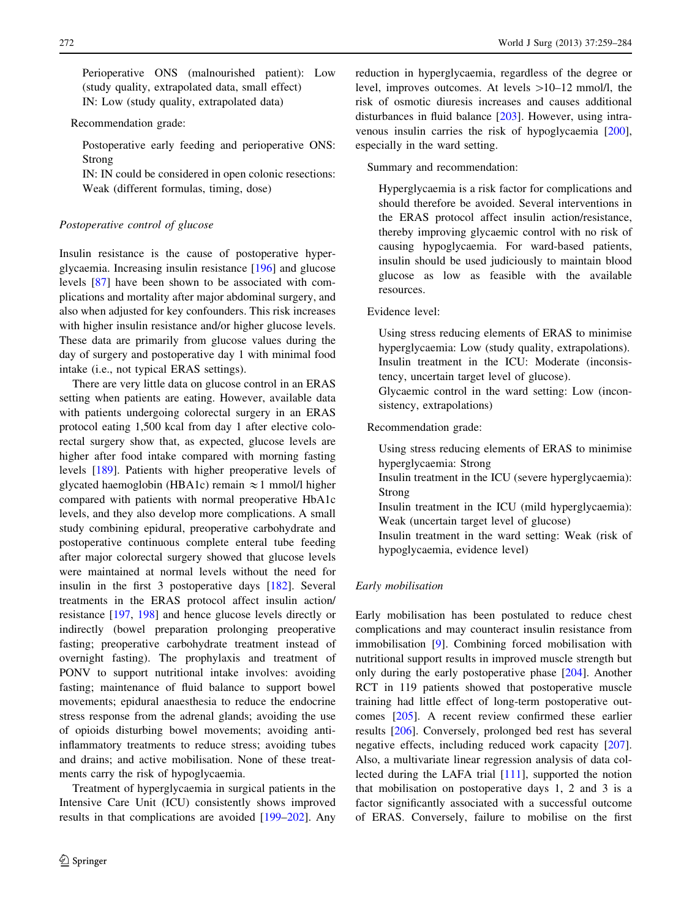Perioperative ONS (malnourished patient): Low (study quality, extrapolated data, small effect) IN: Low (study quality, extrapolated data)

#### Recommendation grade:

Postoperative early feeding and perioperative ONS: Strong

IN: IN could be considered in open colonic resections: Weak (different formulas, timing, dose)

# Postoperative control of glucose

Insulin resistance is the cause of postoperative hyperglycaemia. Increasing insulin resistance [\[196](#page-24-0)] and glucose levels [[87\]](#page-21-0) have been shown to be associated with complications and mortality after major abdominal surgery, and also when adjusted for key confounders. This risk increases with higher insulin resistance and/or higher glucose levels. These data are primarily from glucose values during the day of surgery and postoperative day 1 with minimal food intake (i.e., not typical ERAS settings).

There are very little data on glucose control in an ERAS setting when patients are eating. However, available data with patients undergoing colorectal surgery in an ERAS protocol eating 1,500 kcal from day 1 after elective colorectal surgery show that, as expected, glucose levels are higher after food intake compared with morning fasting levels [[189\]](#page-24-0). Patients with higher preoperative levels of glycated haemoglobin (HBA1c) remain  $\approx$  1 mmol/l higher compared with patients with normal preoperative HbA1c levels, and they also develop more complications. A small study combining epidural, preoperative carbohydrate and postoperative continuous complete enteral tube feeding after major colorectal surgery showed that glucose levels were maintained at normal levels without the need for insulin in the first 3 postoperative days [[182\]](#page-24-0). Several treatments in the ERAS protocol affect insulin action/ resistance [\[197](#page-24-0), [198](#page-24-0)] and hence glucose levels directly or indirectly (bowel preparation prolonging preoperative fasting; preoperative carbohydrate treatment instead of overnight fasting). The prophylaxis and treatment of PONV to support nutritional intake involves: avoiding fasting; maintenance of fluid balance to support bowel movements; epidural anaesthesia to reduce the endocrine stress response from the adrenal glands; avoiding the use of opioids disturbing bowel movements; avoiding antiinflammatory treatments to reduce stress; avoiding tubes and drains; and active mobilisation. None of these treatments carry the risk of hypoglycaemia.

Treatment of hyperglycaemia in surgical patients in the Intensive Care Unit (ICU) consistently shows improved results in that complications are avoided [\[199–202](#page-24-0)]. Any

272 World J Surg (2013) 37:259–284

reduction in hyperglycaemia, regardless of the degree or level, improves outcomes. At levels  $>10-12$  mmol/l, the risk of osmotic diuresis increases and causes additional disturbances in fluid balance [\[203](#page-24-0)]. However, using intravenous insulin carries the risk of hypoglycaemia [\[200](#page-24-0)], especially in the ward setting.

Summary and recommendation:

Hyperglycaemia is a risk factor for complications and should therefore be avoided. Several interventions in the ERAS protocol affect insulin action/resistance, thereby improving glycaemic control with no risk of causing hypoglycaemia. For ward-based patients, insulin should be used judiciously to maintain blood glucose as low as feasible with the available resources.

Evidence level:

Using stress reducing elements of ERAS to minimise hyperglycaemia: Low (study quality, extrapolations). Insulin treatment in the ICU: Moderate (inconsistency, uncertain target level of glucose).

Glycaemic control in the ward setting: Low (inconsistency, extrapolations)

Recommendation grade:

Using stress reducing elements of ERAS to minimise hyperglycaemia: Strong

Insulin treatment in the ICU (severe hyperglycaemia): Strong

Insulin treatment in the ICU (mild hyperglycaemia): Weak (uncertain target level of glucose)

Insulin treatment in the ward setting: Weak (risk of hypoglycaemia, evidence level)

# Early mobilisation

Early mobilisation has been postulated to reduce chest complications and may counteract insulin resistance from immobilisation [\[9](#page-19-0)]. Combining forced mobilisation with nutritional support results in improved muscle strength but only during the early postoperative phase [[204\]](#page-24-0). Another RCT in 119 patients showed that postoperative muscle training had little effect of long-term postoperative outcomes [\[205](#page-24-0)]. A recent review confirmed these earlier results [[206\]](#page-24-0). Conversely, prolonged bed rest has several negative effects, including reduced work capacity [\[207](#page-24-0)]. Also, a multivariate linear regression analysis of data collected during the LAFA trial [\[111](#page-22-0)], supported the notion that mobilisation on postoperative days 1, 2 and 3 is a factor significantly associated with a successful outcome of ERAS. Conversely, failure to mobilise on the first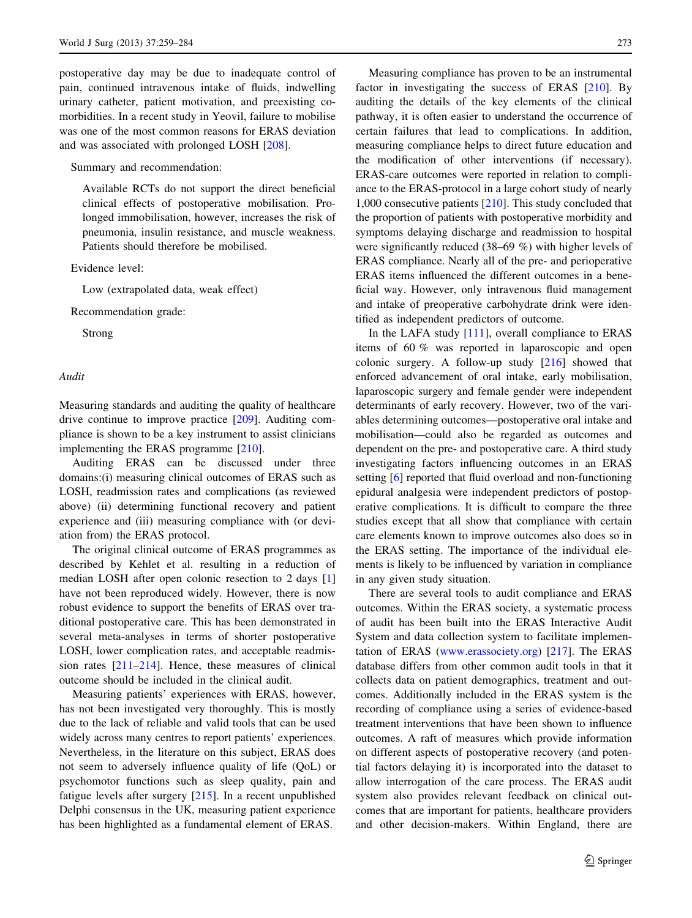postoperative day may be due to inadequate control of pain, continued intravenous intake of fluids, indwelling urinary catheter, patient motivation, and preexisting comorbidities. In a recent study in Yeovil, failure to mobilise was one of the most common reasons for ERAS deviation and was associated with prolonged LOSH [[208\]](#page-24-0).

Summary and recommendation:

Available RCTs do not support the direct beneficial clinical effects of postoperative mobilisation. Prolonged immobilisation, however, increases the risk of pneumonia, insulin resistance, and muscle weakness. Patients should therefore be mobilised.

Evidence level:

Low (extrapolated data, weak effect)

Recommendation grade:

Strong

# Audit

Measuring standards and auditing the quality of healthcare drive continue to improve practice [[209\]](#page-24-0). Auditing compliance is shown to be a key instrument to assist clinicians implementing the ERAS programme [\[210](#page-24-0)].

Auditing ERAS can be discussed under three domains:(i) measuring clinical outcomes of ERAS such as LOSH, readmission rates and complications (as reviewed above) (ii) determining functional recovery and patient experience and (iii) measuring compliance with (or deviation from) the ERAS protocol.

The original clinical outcome of ERAS programmes as described by Kehlet et al. resulting in a reduction of median LOSH after open colonic resection to 2 days [[1\]](#page-18-0) have not been reproduced widely. However, there is now robust evidence to support the benefits of ERAS over traditional postoperative care. This has been demonstrated in several meta-analyses in terms of shorter postoperative LOSH, lower complication rates, and acceptable readmission rates [[211–](#page-24-0)[214\]](#page-25-0). Hence, these measures of clinical outcome should be included in the clinical audit.

Measuring patients' experiences with ERAS, however, has not been investigated very thoroughly. This is mostly due to the lack of reliable and valid tools that can be used widely across many centres to report patients' experiences. Nevertheless, in the literature on this subject, ERAS does not seem to adversely influence quality of life (QoL) or psychomotor functions such as sleep quality, pain and fatigue levels after surgery [\[215](#page-25-0)]. In a recent unpublished Delphi consensus in the UK, measuring patient experience has been highlighted as a fundamental element of ERAS.

Measuring compliance has proven to be an instrumental factor in investigating the success of ERAS [\[210](#page-24-0)]. By auditing the details of the key elements of the clinical pathway, it is often easier to understand the occurrence of certain failures that lead to complications. In addition, measuring compliance helps to direct future education and the modification of other interventions (if necessary). ERAS-care outcomes were reported in relation to compliance to the ERAS-protocol in a large cohort study of nearly 1,000 consecutive patients [[210\]](#page-24-0). This study concluded that the proportion of patients with postoperative morbidity and symptoms delaying discharge and readmission to hospital were significantly reduced (38–69 %) with higher levels of ERAS compliance. Nearly all of the pre- and perioperative ERAS items influenced the different outcomes in a beneficial way. However, only intravenous fluid management and intake of preoperative carbohydrate drink were identified as independent predictors of outcome.

In the LAFA study [[111](#page-22-0)], overall compliance to ERAS items of 60 % was reported in laparoscopic and open colonic surgery. A follow-up study [[216\]](#page-25-0) showed that enforced advancement of oral intake, early mobilisation, laparoscopic surgery and female gender were independent determinants of early recovery. However, two of the variables determining outcomes—postoperative oral intake and mobilisation—could also be regarded as outcomes and dependent on the pre- and postoperative care. A third study investigating factors influencing outcomes in an ERAS setting [[6\]](#page-19-0) reported that fluid overload and non-functioning epidural analgesia were independent predictors of postoperative complications. It is difficult to compare the three studies except that all show that compliance with certain care elements known to improve outcomes also does so in the ERAS setting. The importance of the individual elements is likely to be influenced by variation in compliance in any given study situation.

There are several tools to audit compliance and ERAS outcomes. Within the ERAS society, a systematic process of audit has been built into the ERAS Interactive Audit System and data collection system to facilitate implementation of ERAS ([www.erassociety.org](http://www.erassociety.org)) [[217\]](#page-25-0). The ERAS database differs from other common audit tools in that it collects data on patient demographics, treatment and outcomes. Additionally included in the ERAS system is the recording of compliance using a series of evidence-based treatment interventions that have been shown to influence outcomes. A raft of measures which provide information on different aspects of postoperative recovery (and potential factors delaying it) is incorporated into the dataset to allow interrogation of the care process. The ERAS audit system also provides relevant feedback on clinical outcomes that are important for patients, healthcare providers and other decision-makers. Within England, there are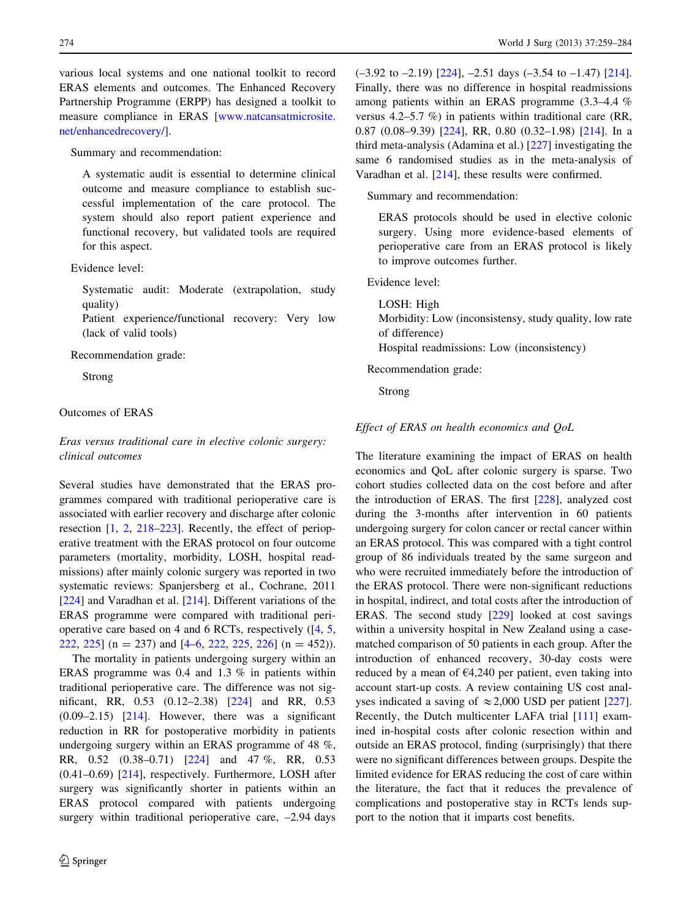various local systems and one national toolkit to record ERAS elements and outcomes. The Enhanced Recovery Partnership Programme (ERPP) has designed a toolkit to measure compliance in ERAS [[www.natcansatmicrosite.](http://www.natcansatmicrosite.net/enhancedrecovery/) [net/enhancedrecovery/\]](http://www.natcansatmicrosite.net/enhancedrecovery/).

Summary and recommendation:

A systematic audit is essential to determine clinical outcome and measure compliance to establish successful implementation of the care protocol. The system should also report patient experience and functional recovery, but validated tools are required for this aspect.

Evidence level:

Systematic audit: Moderate (extrapolation, study quality)

Patient experience/functional recovery: Very low (lack of valid tools)

Recommendation grade:

Strong

# Outcomes of ERAS

# Eras versus traditional care in elective colonic surgery: clinical outcomes

Several studies have demonstrated that the ERAS programmes compared with traditional perioperative care is associated with earlier recovery and discharge after colonic resection [[1,](#page-18-0) [2](#page-19-0), [218–223\]](#page-25-0). Recently, the effect of perioperative treatment with the ERAS protocol on four outcome parameters (mortality, morbidity, LOSH, hospital readmissions) after mainly colonic surgery was reported in two systematic reviews: Spanjersberg et al., Cochrane, 2011 [\[224](#page-25-0)] and Varadhan et al. [\[214](#page-25-0)]. Different variations of the ERAS programme were compared with traditional perioperative care based on 4 and 6 RCTs, respectively ([\[4](#page-19-0), [5,](#page-19-0) [222,](#page-25-0) [225\]](#page-25-0) (n = 237) and  $[4–6, 222, 225, 226]$  $[4–6, 222, 225, 226]$  $[4–6, 222, 225, 226]$  $[4–6, 222, 225, 226]$  $[4–6, 222, 225, 226]$  $[4–6, 222, 225, 226]$  $[4–6, 222, 225, 226]$  $[4–6, 222, 225, 226]$  (n = 452)).

The mortality in patients undergoing surgery within an ERAS programme was 0.4 and 1.3 % in patients within traditional perioperative care. The difference was not significant, RR, 0.53 (0.12–2.38) [[224\]](#page-25-0) and RR, 0.53  $(0.09-2.15)$  [[214\]](#page-25-0). However, there was a significant reduction in RR for postoperative morbidity in patients undergoing surgery within an ERAS programme of 48 %, RR, 0.52 (0.38–0.71) [[224\]](#page-25-0) and 47 %, RR, 0.53 (0.41–0.69) [[214\]](#page-25-0), respectively. Furthermore, LOSH after surgery was significantly shorter in patients within an ERAS protocol compared with patients undergoing surgery within traditional perioperative care, –2.94 days  $(-3.92 \text{ to } -2.19)$   $[224]$  $[224]$ ,  $-2.51 \text{ days } (-3.54 \text{ to } -1.47)$   $[214]$  $[214]$ . Finally, there was no difference in hospital readmissions among patients within an ERAS programme (3.3–4.4 % versus 4.2–5.7 %) in patients within traditional care (RR, 0.87 (0.08–9.39) [[224\]](#page-25-0), RR, 0.80 (0.32–1.98) [\[214](#page-25-0)]. In a third meta-analysis (Adamina et al.) [[227\]](#page-25-0) investigating the same 6 randomised studies as in the meta-analysis of Varadhan et al. [\[214](#page-25-0)], these results were confirmed.

Summary and recommendation:

ERAS protocols should be used in elective colonic surgery. Using more evidence-based elements of perioperative care from an ERAS protocol is likely to improve outcomes further.

Evidence level:

LOSH: High

Morbidity: Low (inconsistensy, study quality, low rate of difference)

Hospital readmissions: Low (inconsistency)

Recommendation grade:

Strong

Effect of ERAS on health economics and QoL

The literature examining the impact of ERAS on health economics and QoL after colonic surgery is sparse. Two cohort studies collected data on the cost before and after the introduction of ERAS. The first [\[228](#page-25-0)], analyzed cost during the 3-months after intervention in 60 patients undergoing surgery for colon cancer or rectal cancer within an ERAS protocol. This was compared with a tight control group of 86 individuals treated by the same surgeon and who were recruited immediately before the introduction of the ERAS protocol. There were non-significant reductions in hospital, indirect, and total costs after the introduction of ERAS. The second study [[229\]](#page-25-0) looked at cost savings within a university hospital in New Zealand using a casematched comparison of 50 patients in each group. After the introduction of enhanced recovery, 30-day costs were reduced by a mean of  $E4,240$  per patient, even taking into account start-up costs. A review containing US cost analyses indicated a saving of  $\approx 2,000$  USD per patient [\[227](#page-25-0)]. Recently, the Dutch multicenter LAFA trial [[111\]](#page-22-0) examined in-hospital costs after colonic resection within and outside an ERAS protocol, finding (surprisingly) that there were no significant differences between groups. Despite the limited evidence for ERAS reducing the cost of care within the literature, the fact that it reduces the prevalence of complications and postoperative stay in RCTs lends support to the notion that it imparts cost benefits.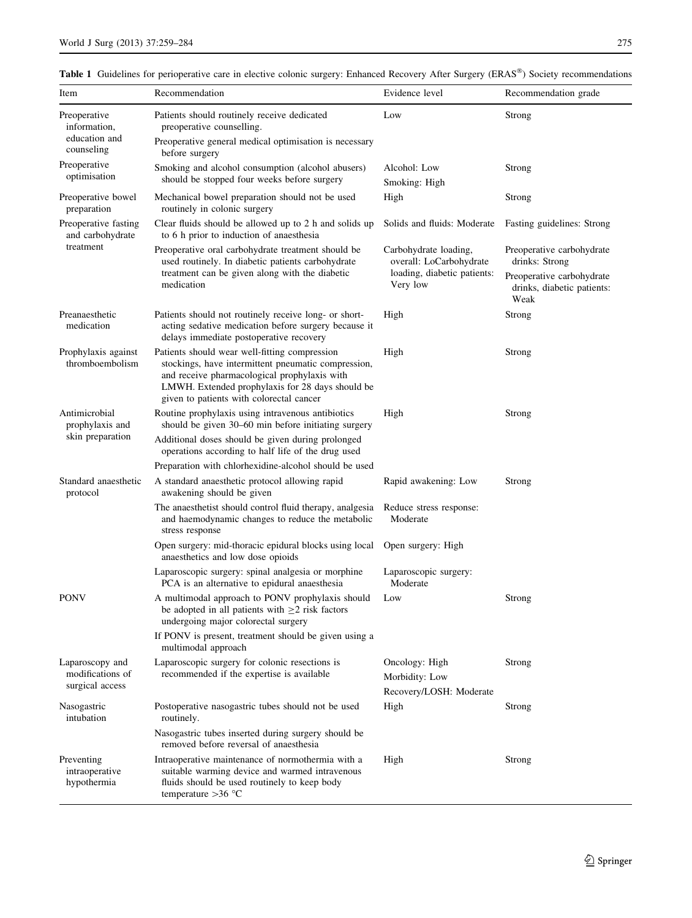<span id="page-16-0"></span>Table 1 Guidelines for perioperative care in elective colonic surgery: Enhanced Recovery After Surgery (ERAS®) Society recommendations

| Item                                                        | Recommendation                                                                                                                                                                                                                                       | Evidence level                                                                              | Recommendation grade                                            |
|-------------------------------------------------------------|------------------------------------------------------------------------------------------------------------------------------------------------------------------------------------------------------------------------------------------------------|---------------------------------------------------------------------------------------------|-----------------------------------------------------------------|
| Preoperative<br>information,<br>education and<br>counseling | Patients should routinely receive dedicated<br>preoperative counselling.                                                                                                                                                                             | Low                                                                                         | Strong                                                          |
|                                                             | Preoperative general medical optimisation is necessary<br>before surgery                                                                                                                                                                             |                                                                                             |                                                                 |
| Preoperative<br>optimisation                                | Smoking and alcohol consumption (alcohol abusers)<br>should be stopped four weeks before surgery                                                                                                                                                     | Alcohol: Low<br>Smoking: High                                                               | Strong                                                          |
| Preoperative bowel<br>preparation                           | Mechanical bowel preparation should not be used<br>routinely in colonic surgery                                                                                                                                                                      | High                                                                                        | Strong                                                          |
| Preoperative fasting<br>and carbohydrate<br>treatment       | Clear fluids should be allowed up to 2 h and solids up<br>to 6 h prior to induction of anaesthesia                                                                                                                                                   | Solids and fluids: Moderate                                                                 | Fasting guidelines: Strong                                      |
|                                                             | Preoperative oral carbohydrate treatment should be<br>used routinely. In diabetic patients carbohydrate<br>treatment can be given along with the diabetic<br>medication                                                                              | Carbohydrate loading,<br>overall: LoCarbohydrate<br>loading, diabetic patients:<br>Very low | Preoperative carbohydrate<br>drinks: Strong                     |
|                                                             |                                                                                                                                                                                                                                                      |                                                                                             | Preoperative carbohydrate<br>drinks, diabetic patients:<br>Weak |
| Preanaesthetic<br>medication                                | Patients should not routinely receive long- or short-<br>acting sedative medication before surgery because it<br>delays immediate postoperative recovery                                                                                             | High                                                                                        | Strong                                                          |
| Prophylaxis against<br>thromboembolism                      | Patients should wear well-fitting compression<br>stockings, have intermittent pneumatic compression,<br>and receive pharmacological prophylaxis with<br>LMWH. Extended prophylaxis for 28 days should be<br>given to patients with colorectal cancer | High                                                                                        | Strong                                                          |
| Antimicrobial<br>prophylaxis and<br>skin preparation        | Routine prophylaxis using intravenous antibiotics<br>should be given 30–60 min before initiating surgery                                                                                                                                             | High                                                                                        | Strong                                                          |
|                                                             | Additional doses should be given during prolonged<br>operations according to half life of the drug used                                                                                                                                              |                                                                                             |                                                                 |
|                                                             | Preparation with chlorhexidine-alcohol should be used                                                                                                                                                                                                |                                                                                             |                                                                 |
| Standard anaesthetic<br>protocol                            | A standard anaesthetic protocol allowing rapid<br>awakening should be given                                                                                                                                                                          | Rapid awakening: Low                                                                        | Strong                                                          |
|                                                             | The anaesthetist should control fluid therapy, analgesia<br>and haemodynamic changes to reduce the metabolic<br>stress response                                                                                                                      | Reduce stress response:<br>Moderate                                                         |                                                                 |
|                                                             | Open surgery: mid-thoracic epidural blocks using local<br>anaesthetics and low dose opioids                                                                                                                                                          | Open surgery: High                                                                          |                                                                 |
|                                                             | Laparoscopic surgery: spinal analgesia or morphine<br>PCA is an alternative to epidural anaesthesia                                                                                                                                                  | Laparoscopic surgery:<br>Moderate                                                           |                                                                 |
| PONV                                                        | A multimodal approach to PONV prophylaxis should<br>be adopted in all patients with $\geq$ 2 risk factors<br>undergoing major colorectal surgery                                                                                                     | Low                                                                                         | Strong                                                          |
|                                                             | If PONV is present, treatment should be given using a<br>multimodal approach                                                                                                                                                                         |                                                                                             |                                                                 |
| Laparoscopy and<br>modifications of<br>surgical access      | Laparoscopic surgery for colonic resections is<br>recommended if the expertise is available                                                                                                                                                          | Oncology: High<br>Morbidity: Low<br>Recovery/LOSH: Moderate                                 | Strong                                                          |
| Nasogastric<br>intubation                                   | Postoperative nasogastric tubes should not be used<br>routinely.                                                                                                                                                                                     | High                                                                                        | Strong                                                          |
|                                                             | Nasogastric tubes inserted during surgery should be<br>removed before reversal of anaesthesia                                                                                                                                                        |                                                                                             |                                                                 |
| Preventing<br>intraoperative<br>hypothermia                 | Intraoperative maintenance of normothermia with a<br>suitable warming device and warmed intravenous<br>fluids should be used routinely to keep body<br>temperature $>36$ °C                                                                          | High                                                                                        | Strong                                                          |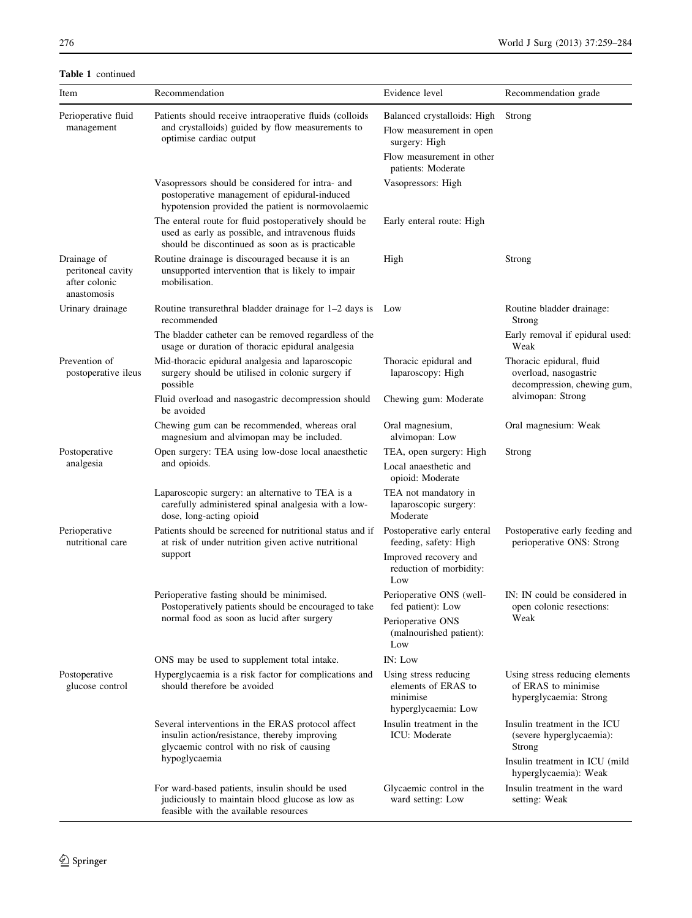Table 1 continued

| Item                                                             | Recommendation                                                                                                                                                  | Evidence level                                                                  | Recommendation grade                                                                                  |
|------------------------------------------------------------------|-----------------------------------------------------------------------------------------------------------------------------------------------------------------|---------------------------------------------------------------------------------|-------------------------------------------------------------------------------------------------------|
| Perioperative fluid<br>management                                | Patients should receive intraoperative fluids (colloids<br>and crystalloids) guided by flow measurements to<br>optimise cardiac output                          | Balanced crystalloids: High<br>Flow measurement in open<br>surgery: High        | Strong                                                                                                |
|                                                                  |                                                                                                                                                                 | Flow measurement in other<br>patients: Moderate                                 |                                                                                                       |
|                                                                  | Vasopressors should be considered for intra- and<br>postoperative management of epidural-induced<br>hypotension provided the patient is normovolaemic           | Vasopressors: High                                                              |                                                                                                       |
|                                                                  | The enteral route for fluid postoperatively should be<br>used as early as possible, and intravenous fluids<br>should be discontinued as soon as is practicable  | Early enteral route: High                                                       |                                                                                                       |
| Drainage of<br>peritoneal cavity<br>after colonic<br>anastomosis | Routine drainage is discouraged because it is an<br>unsupported intervention that is likely to impair<br>mobilisation.                                          | High                                                                            | Strong                                                                                                |
| Urinary drainage                                                 | Routine transurethral bladder drainage for 1–2 days is Low<br>recommended                                                                                       |                                                                                 | Routine bladder drainage:<br>Strong                                                                   |
|                                                                  | The bladder catheter can be removed regardless of the<br>usage or duration of thoracic epidural analgesia                                                       |                                                                                 | Early removal if epidural used:<br>Weak                                                               |
| Prevention of<br>postoperative ileus                             | Mid-thoracic epidural analgesia and laparoscopic<br>surgery should be utilised in colonic surgery if<br>possible                                                | Thoracic epidural and<br>laparoscopy: High                                      | Thoracic epidural, fluid<br>overload, nasogastric<br>decompression, chewing gum,<br>alvimopan: Strong |
|                                                                  | Fluid overload and nasogastric decompression should<br>be avoided                                                                                               | Chewing gum: Moderate                                                           |                                                                                                       |
|                                                                  | Chewing gum can be recommended, whereas oral<br>magnesium and alvimopan may be included.                                                                        | Oral magnesium,<br>alvimopan: Low                                               | Oral magnesium: Weak                                                                                  |
| Postoperative<br>analgesia                                       | Open surgery: TEA using low-dose local anaesthetic<br>and opioids.                                                                                              | TEA, open surgery: High<br>Local anaesthetic and<br>opioid: Moderate            | Strong                                                                                                |
|                                                                  | Laparoscopic surgery: an alternative to TEA is a<br>carefully administered spinal analgesia with a low-<br>dose, long-acting opioid                             | TEA not mandatory in<br>laparoscopic surgery:<br>Moderate                       |                                                                                                       |
| Perioperative<br>nutritional care                                | Patients should be screened for nutritional status and if<br>at risk of under nutrition given active nutritional<br>support                                     | Postoperative early enteral<br>feeding, safety: High                            | Postoperative early feeding and<br>perioperative ONS: Strong                                          |
|                                                                  |                                                                                                                                                                 | Improved recovery and<br>reduction of morbidity:<br>Low                         |                                                                                                       |
|                                                                  | Perioperative fasting should be minimised.<br>Postoperatively patients should be encouraged to take<br>normal food as soon as lucid after surgery               | Perioperative ONS (well-<br>fed patient): Low                                   | IN: IN could be considered in<br>open colonic resections:<br>Weak                                     |
|                                                                  |                                                                                                                                                                 | Perioperative ONS<br>(malnourished patient):<br>Low                             |                                                                                                       |
|                                                                  | ONS may be used to supplement total intake.                                                                                                                     | IN: Low                                                                         |                                                                                                       |
| Postoperative<br>glucose control                                 | Hyperglycaemia is a risk factor for complications and<br>should therefore be avoided                                                                            | Using stress reducing<br>elements of ERAS to<br>minimise<br>hyperglycaemia: Low | Using stress reducing elements<br>of ERAS to minimise<br>hyperglycaemia: Strong                       |
|                                                                  | Several interventions in the ERAS protocol affect<br>insulin action/resistance, thereby improving<br>glycaemic control with no risk of causing<br>hypoglycaemia | Insulin treatment in the<br><b>ICU</b> : Moderate                               | Insulin treatment in the ICU<br>(severe hyperglycaemia):<br>Strong                                    |
|                                                                  |                                                                                                                                                                 |                                                                                 | Insulin treatment in ICU (mild<br>hyperglycaemia): Weak                                               |
|                                                                  | For ward-based patients, insulin should be used<br>judiciously to maintain blood glucose as low as<br>feasible with the available resources                     | Glycaemic control in the<br>ward setting: Low                                   | Insulin treatment in the ward<br>setting: Weak                                                        |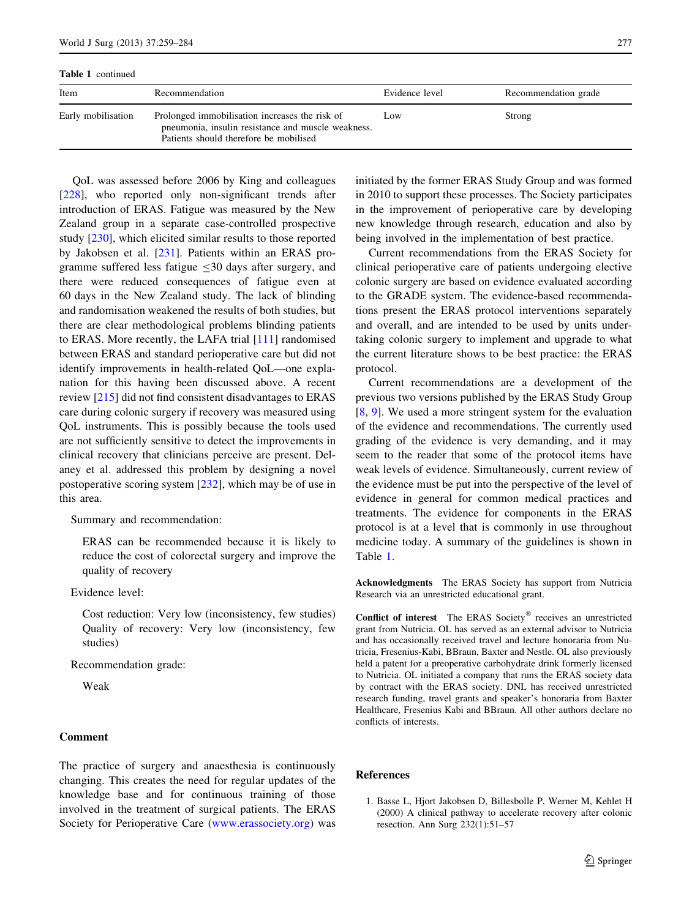<span id="page-18-0"></span>

| <b>Table 1</b> continued |                                                                                                                                                |                |                      |  |  |
|--------------------------|------------------------------------------------------------------------------------------------------------------------------------------------|----------------|----------------------|--|--|
| Item                     | Recommendation                                                                                                                                 | Evidence level | Recommendation grade |  |  |
| Early mobilisation       | Prolonged immobilisation increases the risk of<br>pneumonia, insulin resistance and muscle weakness.<br>Patients should therefore be mobilised | Low            | Strong               |  |  |

QoL was assessed before 2006 by King and colleagues [\[228](#page-25-0)], who reported only non-significant trends after introduction of ERAS. Fatigue was measured by the New Zealand group in a separate case-controlled prospective study [[230\]](#page-25-0), which elicited similar results to those reported by Jakobsen et al. [\[231](#page-25-0)]. Patients within an ERAS programme suffered less fatigue  $\leq 30$  days after surgery, and there were reduced consequences of fatigue even at 60 days in the New Zealand study. The lack of blinding and randomisation weakened the results of both studies, but there are clear methodological problems blinding patients to ERAS. More recently, the LAFA trial [\[111](#page-22-0)] randomised between ERAS and standard perioperative care but did not identify improvements in health-related QoL—one explanation for this having been discussed above. A recent review [[215\]](#page-25-0) did not find consistent disadvantages to ERAS care during colonic surgery if recovery was measured using QoL instruments. This is possibly because the tools used are not sufficiently sensitive to detect the improvements in clinical recovery that clinicians perceive are present. Delaney et al. addressed this problem by designing a novel postoperative scoring system [[232\]](#page-25-0), which may be of use in this area.

Summary and recommendation:

ERAS can be recommended because it is likely to reduce the cost of colorectal surgery and improve the quality of recovery

Evidence level:

Cost reduction: Very low (inconsistency, few studies) Quality of recovery: Very low (inconsistency, few studies)

Recommendation grade:

Weak

# Comment

The practice of surgery and anaesthesia is continuously changing. This creates the need for regular updates of the knowledge base and for continuous training of those involved in the treatment of surgical patients. The ERAS Society for Perioperative Care [\(www.erassociety.org\)](http://www.erassociety.org) was initiated by the former ERAS Study Group and was formed in 2010 to support these processes. The Society participates in the improvement of perioperative care by developing new knowledge through research, education and also by being involved in the implementation of best practice.

Current recommendations from the ERAS Society for clinical perioperative care of patients undergoing elective colonic surgery are based on evidence evaluated according to the GRADE system. The evidence-based recommendations present the ERAS protocol interventions separately and overall, and are intended to be used by units undertaking colonic surgery to implement and upgrade to what the current literature shows to be best practice: the ERAS protocol.

Current recommendations are a development of the previous two versions published by the ERAS Study Group [\[8](#page-19-0), [9](#page-19-0)]. We used a more stringent system for the evaluation of the evidence and recommendations. The currently used grading of the evidence is very demanding, and it may seem to the reader that some of the protocol items have weak levels of evidence. Simultaneously, current review of the evidence must be put into the perspective of the level of evidence in general for common medical practices and treatments. The evidence for components in the ERAS protocol is at a level that is commonly in use throughout medicine today. A summary of the guidelines is shown in Table [1](#page-16-0).

Acknowledgments The ERAS Society has support from Nutricia Research via an unrestricted educational grant.

Conflict of interest The ERAS Society® receives an unrestricted grant from Nutricia. OL has served as an external advisor to Nutricia and has occasionally received travel and lecture honoraria from Nutricia, Fresenius-Kabi, BBraun, Baxter and Nestle. OL also previously held a patent for a preoperative carbohydrate drink formerly licensed to Nutricia. OL initiated a company that runs the ERAS society data by contract with the ERAS society. DNL has received unrestricted research funding, travel grants and speaker's honoraria from Baxter Healthcare, Fresenius Kabi and BBraun. All other authors declare no conflicts of interests.

# References

1. Basse L, Hjort Jakobsen D, Billesbolle P, Werner M, Kehlet H (2000) A clinical pathway to accelerate recovery after colonic resection. Ann Surg 232(1):51–57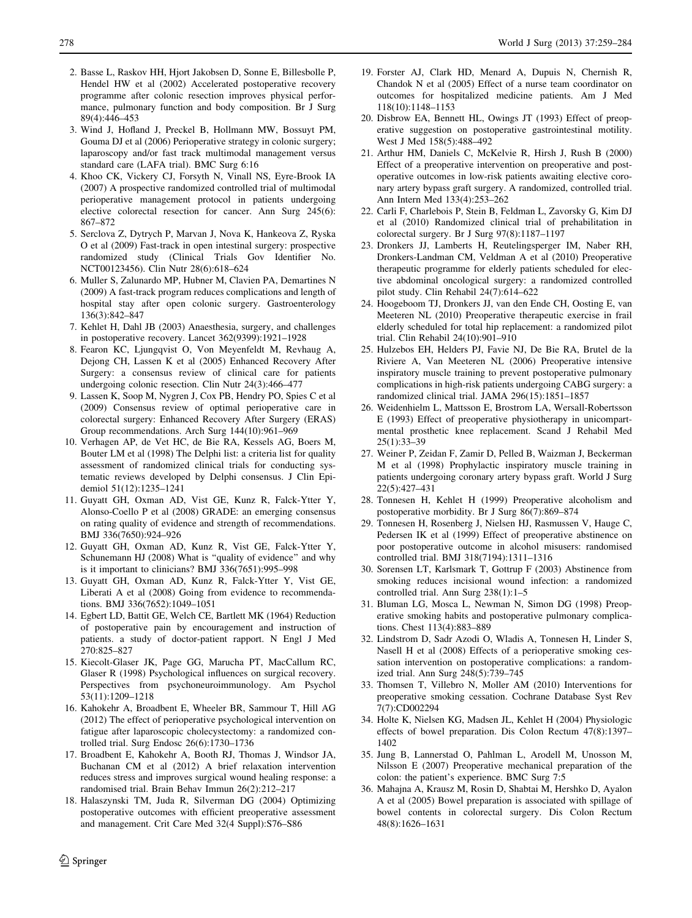- <span id="page-19-0"></span>2. Basse L, Raskov HH, Hjort Jakobsen D, Sonne E, Billesbolle P, Hendel HW et al (2002) Accelerated postoperative recovery programme after colonic resection improves physical performance, pulmonary function and body composition. Br J Surg 89(4):446–453
- 3. Wind J, Hofland J, Preckel B, Hollmann MW, Bossuyt PM, Gouma DJ et al (2006) Perioperative strategy in colonic surgery; laparoscopy and/or fast track multimodal management versus standard care (LAFA trial). BMC Surg 6:16
- 4. Khoo CK, Vickery CJ, Forsyth N, Vinall NS, Eyre-Brook IA (2007) A prospective randomized controlled trial of multimodal perioperative management protocol in patients undergoing elective colorectal resection for cancer. Ann Surg 245(6): 867–872
- 5. Serclova Z, Dytrych P, Marvan J, Nova K, Hankeova Z, Ryska O et al (2009) Fast-track in open intestinal surgery: prospective randomized study (Clinical Trials Gov Identifier No. NCT00123456). Clin Nutr 28(6):618–624
- 6. Muller S, Zalunardo MP, Hubner M, Clavien PA, Demartines N (2009) A fast-track program reduces complications and length of hospital stay after open colonic surgery. Gastroenterology 136(3):842–847
- 7. Kehlet H, Dahl JB (2003) Anaesthesia, surgery, and challenges in postoperative recovery. Lancet 362(9399):1921–1928
- 8. Fearon KC, Ljungqvist O, Von Meyenfeldt M, Revhaug A, Dejong CH, Lassen K et al (2005) Enhanced Recovery After Surgery: a consensus review of clinical care for patients undergoing colonic resection. Clin Nutr 24(3):466–477
- 9. Lassen K, Soop M, Nygren J, Cox PB, Hendry PO, Spies C et al (2009) Consensus review of optimal perioperative care in colorectal surgery: Enhanced Recovery After Surgery (ERAS) Group recommendations. Arch Surg 144(10):961–969
- 10. Verhagen AP, de Vet HC, de Bie RA, Kessels AG, Boers M, Bouter LM et al (1998) The Delphi list: a criteria list for quality assessment of randomized clinical trials for conducting systematic reviews developed by Delphi consensus. J Clin Epidemiol 51(12):1235–1241
- 11. Guyatt GH, Oxman AD, Vist GE, Kunz R, Falck-Ytter Y, Alonso-Coello P et al (2008) GRADE: an emerging consensus on rating quality of evidence and strength of recommendations. BMJ 336(7650):924–926
- 12. Guyatt GH, Oxman AD, Kunz R, Vist GE, Falck-Ytter Y, Schunemann HJ (2008) What is ''quality of evidence'' and why is it important to clinicians? BMJ 336(7651):995–998
- 13. Guyatt GH, Oxman AD, Kunz R, Falck-Ytter Y, Vist GE, Liberati A et al (2008) Going from evidence to recommendations. BMJ 336(7652):1049–1051
- 14. Egbert LD, Battit GE, Welch CE, Bartlett MK (1964) Reduction of postoperative pain by encouragement and instruction of patients. a study of doctor-patient rapport. N Engl J Med 270:825–827
- 15. Kiecolt-Glaser JK, Page GG, Marucha PT, MacCallum RC, Glaser R (1998) Psychological influences on surgical recovery. Perspectives from psychoneuroimmunology. Am Psychol 53(11):1209–1218
- 16. Kahokehr A, Broadbent E, Wheeler BR, Sammour T, Hill AG (2012) The effect of perioperative psychological intervention on fatigue after laparoscopic cholecystectomy: a randomized controlled trial. Surg Endosc 26(6):1730–1736
- 17. Broadbent E, Kahokehr A, Booth RJ, Thomas J, Windsor JA, Buchanan CM et al (2012) A brief relaxation intervention reduces stress and improves surgical wound healing response: a randomised trial. Brain Behav Immun 26(2):212–217
- 18. Halaszynski TM, Juda R, Silverman DG (2004) Optimizing postoperative outcomes with efficient preoperative assessment and management. Crit Care Med 32(4 Suppl):S76–S86
- 19. Forster AJ, Clark HD, Menard A, Dupuis N, Chernish R, Chandok N et al (2005) Effect of a nurse team coordinator on outcomes for hospitalized medicine patients. Am J Med 118(10):1148–1153
- 20. Disbrow EA, Bennett HL, Owings JT (1993) Effect of preoperative suggestion on postoperative gastrointestinal motility. West J Med 158(5):488–492
- 21. Arthur HM, Daniels C, McKelvie R, Hirsh J, Rush B (2000) Effect of a preoperative intervention on preoperative and postoperative outcomes in low-risk patients awaiting elective coronary artery bypass graft surgery. A randomized, controlled trial. Ann Intern Med 133(4):253–262
- 22. Carli F, Charlebois P, Stein B, Feldman L, Zavorsky G, Kim DJ et al (2010) Randomized clinical trial of prehabilitation in colorectal surgery. Br J Surg 97(8):1187–1197
- 23. Dronkers JJ, Lamberts H, Reutelingsperger IM, Naber RH, Dronkers-Landman CM, Veldman A et al (2010) Preoperative therapeutic programme for elderly patients scheduled for elective abdominal oncological surgery: a randomized controlled pilot study. Clin Rehabil 24(7):614–622
- 24. Hoogeboom TJ, Dronkers JJ, van den Ende CH, Oosting E, van Meeteren NL (2010) Preoperative therapeutic exercise in frail elderly scheduled for total hip replacement: a randomized pilot trial. Clin Rehabil 24(10):901–910
- 25. Hulzebos EH, Helders PJ, Favie NJ, De Bie RA, Brutel de la Riviere A, Van Meeteren NL (2006) Preoperative intensive inspiratory muscle training to prevent postoperative pulmonary complications in high-risk patients undergoing CABG surgery: a randomized clinical trial. JAMA 296(15):1851–1857
- 26. Weidenhielm L, Mattsson E, Brostrom LA, Wersall-Robertsson E (1993) Effect of preoperative physiotherapy in unicompartmental prosthetic knee replacement. Scand J Rehabil Med 25(1):33–39
- 27. Weiner P, Zeidan F, Zamir D, Pelled B, Waizman J, Beckerman M et al (1998) Prophylactic inspiratory muscle training in patients undergoing coronary artery bypass graft. World J Surg 22(5):427–431
- 28. Tonnesen H, Kehlet H (1999) Preoperative alcoholism and postoperative morbidity. Br J Surg 86(7):869–874
- 29. Tonnesen H, Rosenberg J, Nielsen HJ, Rasmussen V, Hauge C, Pedersen IK et al (1999) Effect of preoperative abstinence on poor postoperative outcome in alcohol misusers: randomised controlled trial. BMJ 318(7194):1311–1316
- 30. Sorensen LT, Karlsmark T, Gottrup F (2003) Abstinence from smoking reduces incisional wound infection: a randomized controlled trial. Ann Surg 238(1):1–5
- 31. Bluman LG, Mosca L, Newman N, Simon DG (1998) Preoperative smoking habits and postoperative pulmonary complications. Chest 113(4):883–889
- 32. Lindstrom D, Sadr Azodi O, Wladis A, Tonnesen H, Linder S, Nasell H et al (2008) Effects of a perioperative smoking cessation intervention on postoperative complications: a randomized trial. Ann Surg 248(5):739–745
- 33. Thomsen T, Villebro N, Moller AM (2010) Interventions for preoperative smoking cessation. Cochrane Database Syst Rev 7(7):CD002294
- 34. Holte K, Nielsen KG, Madsen JL, Kehlet H (2004) Physiologic effects of bowel preparation. Dis Colon Rectum 47(8):1397– 1402
- 35. Jung B, Lannerstad O, Pahlman L, Arodell M, Unosson M, Nilsson E (2007) Preoperative mechanical preparation of the colon: the patient's experience. BMC Surg 7:5
- 36. Mahajna A, Krausz M, Rosin D, Shabtai M, Hershko D, Ayalon A et al (2005) Bowel preparation is associated with spillage of bowel contents in colorectal surgery. Dis Colon Rectum 48(8):1626–1631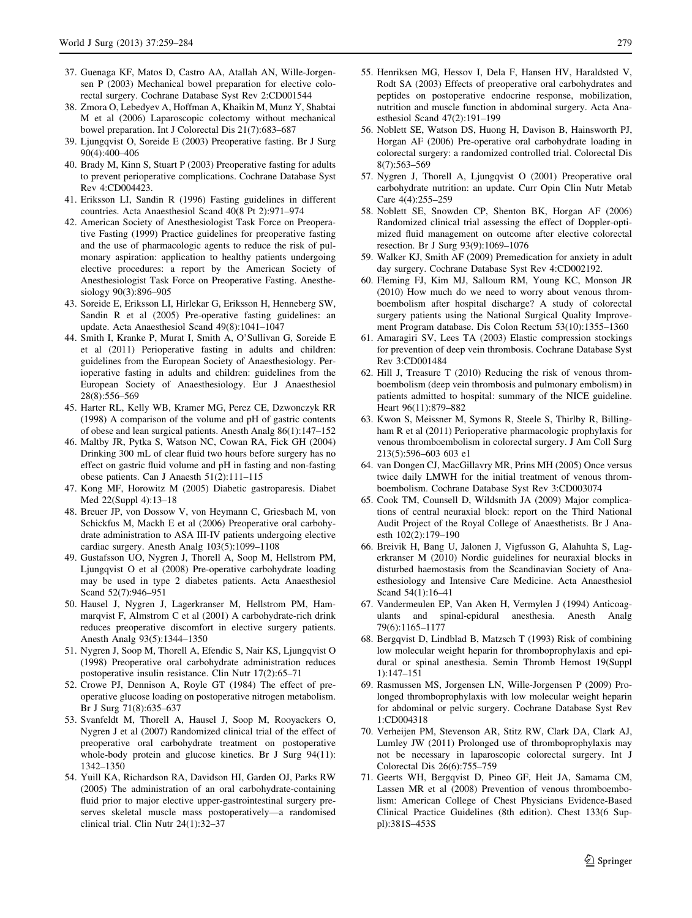- <span id="page-20-0"></span>37. Guenaga KF, Matos D, Castro AA, Atallah AN, Wille-Jorgensen P (2003) Mechanical bowel preparation for elective colorectal surgery. Cochrane Database Syst Rev 2:CD001544
- 38. Zmora O, Lebedyev A, Hoffman A, Khaikin M, Munz Y, Shabtai M et al (2006) Laparoscopic colectomy without mechanical bowel preparation. Int J Colorectal Dis 21(7):683–687
- 39. Ljungqvist O, Soreide E (2003) Preoperative fasting. Br J Surg 90(4):400–406
- 40. Brady M, Kinn S, Stuart P (2003) Preoperative fasting for adults to prevent perioperative complications. Cochrane Database Syst Rev 4:CD004423.
- 41. Eriksson LI, Sandin R (1996) Fasting guidelines in different countries. Acta Anaesthesiol Scand 40(8 Pt 2):971–974
- 42. American Society of Anesthesiologist Task Force on Preoperative Fasting (1999) Practice guidelines for preoperative fasting and the use of pharmacologic agents to reduce the risk of pulmonary aspiration: application to healthy patients undergoing elective procedures: a report by the American Society of Anesthesiologist Task Force on Preoperative Fasting. Anesthesiology 90(3):896–905
- 43. Soreide E, Eriksson LI, Hirlekar G, Eriksson H, Henneberg SW, Sandin R et al (2005) Pre-operative fasting guidelines: an update. Acta Anaesthesiol Scand 49(8):1041–1047
- 44. Smith I, Kranke P, Murat I, Smith A, O'Sullivan G, Soreide E et al (2011) Perioperative fasting in adults and children: guidelines from the European Society of Anaesthesiology. Perioperative fasting in adults and children: guidelines from the European Society of Anaesthesiology. Eur J Anaesthesiol 28(8):556–569
- 45. Harter RL, Kelly WB, Kramer MG, Perez CE, Dzwonczyk RR (1998) A comparison of the volume and pH of gastric contents of obese and lean surgical patients. Anesth Analg 86(1):147–152
- 46. Maltby JR, Pytka S, Watson NC, Cowan RA, Fick GH (2004) Drinking 300 mL of clear fluid two hours before surgery has no effect on gastric fluid volume and pH in fasting and non-fasting obese patients. Can J Anaesth 51(2):111–115
- 47. Kong MF, Horowitz M (2005) Diabetic gastroparesis. Diabet Med 22(Suppl 4):13–18
- 48. Breuer JP, von Dossow V, von Heymann C, Griesbach M, von Schickfus M, Mackh E et al (2006) Preoperative oral carbohydrate administration to ASA III-IV patients undergoing elective cardiac surgery. Anesth Analg 103(5):1099–1108
- 49. Gustafsson UO, Nygren J, Thorell A, Soop M, Hellstrom PM, Ljungqvist O et al (2008) Pre-operative carbohydrate loading may be used in type 2 diabetes patients. Acta Anaesthesiol Scand 52(7):946–951
- 50. Hausel J, Nygren J, Lagerkranser M, Hellstrom PM, Hammarqvist F, Almstrom C et al (2001) A carbohydrate-rich drink reduces preoperative discomfort in elective surgery patients. Anesth Analg 93(5):1344–1350
- 51. Nygren J, Soop M, Thorell A, Efendic S, Nair KS, Ljungqvist O (1998) Preoperative oral carbohydrate administration reduces postoperative insulin resistance. Clin Nutr 17(2):65–71
- 52. Crowe PJ, Dennison A, Royle GT (1984) The effect of preoperative glucose loading on postoperative nitrogen metabolism. Br J Surg 71(8):635–637
- 53. Svanfeldt M, Thorell A, Hausel J, Soop M, Rooyackers O, Nygren J et al (2007) Randomized clinical trial of the effect of preoperative oral carbohydrate treatment on postoperative whole-body protein and glucose kinetics. Br J Surg 94(11): 1342–1350
- 54. Yuill KA, Richardson RA, Davidson HI, Garden OJ, Parks RW (2005) The administration of an oral carbohydrate-containing fluid prior to major elective upper-gastrointestinal surgery preserves skeletal muscle mass postoperatively—a randomised clinical trial. Clin Nutr 24(1):32–37
- 55. Henriksen MG, Hessov I, Dela F, Hansen HV, Haraldsted V, Rodt SA (2003) Effects of preoperative oral carbohydrates and peptides on postoperative endocrine response, mobilization, nutrition and muscle function in abdominal surgery. Acta Anaesthesiol Scand 47(2):191–199
- 56. Noblett SE, Watson DS, Huong H, Davison B, Hainsworth PJ, Horgan AF (2006) Pre-operative oral carbohydrate loading in colorectal surgery: a randomized controlled trial. Colorectal Dis 8(7):563–569
- 57. Nygren J, Thorell A, Ljungqvist O (2001) Preoperative oral carbohydrate nutrition: an update. Curr Opin Clin Nutr Metab  $Care 4(4) \cdot 255 - 259$
- 58. Noblett SE, Snowden CP, Shenton BK, Horgan AF (2006) Randomized clinical trial assessing the effect of Doppler-optimized fluid management on outcome after elective colorectal resection. Br J Surg 93(9):1069–1076
- 59. Walker KJ, Smith AF (2009) Premedication for anxiety in adult day surgery. Cochrane Database Syst Rev 4:CD002192.
- 60. Fleming FJ, Kim MJ, Salloum RM, Young KC, Monson JR (2010) How much do we need to worry about venous thromboembolism after hospital discharge? A study of colorectal surgery patients using the National Surgical Quality Improvement Program database. Dis Colon Rectum 53(10):1355–1360
- 61. Amaragiri SV, Lees TA (2003) Elastic compression stockings for prevention of deep vein thrombosis. Cochrane Database Syst Rev 3:CD001484
- 62. Hill J, Treasure T (2010) Reducing the risk of venous thromboembolism (deep vein thrombosis and pulmonary embolism) in patients admitted to hospital: summary of the NICE guideline. Heart 96(11):879–882
- 63. Kwon S, Meissner M, Symons R, Steele S, Thirlby R, Billingham R et al (2011) Perioperative pharmacologic prophylaxis for venous thromboembolism in colorectal surgery. J Am Coll Surg 213(5):596–603 603 e1
- 64. van Dongen CJ, MacGillavry MR, Prins MH (2005) Once versus twice daily LMWH for the initial treatment of venous thromboembolism. Cochrane Database Syst Rev 3:CD003074
- 65. Cook TM, Counsell D, Wildsmith JA (2009) Major complications of central neuraxial block: report on the Third National Audit Project of the Royal College of Anaesthetists. Br J Anaesth 102(2):179–190
- 66. Breivik H, Bang U, Jalonen J, Vigfusson G, Alahuhta S, Lagerkranser M (2010) Nordic guidelines for neuraxial blocks in disturbed haemostasis from the Scandinavian Society of Anaesthesiology and Intensive Care Medicine. Acta Anaesthesiol Scand 54(1):16–41
- 67. Vandermeulen EP, Van Aken H, Vermylen J (1994) Anticoagulants and spinal-epidural anesthesia. Anesth Analg 79(6):1165–1177
- 68. Bergqvist D, Lindblad B, Matzsch T (1993) Risk of combining low molecular weight heparin for thromboprophylaxis and epidural or spinal anesthesia. Semin Thromb Hemost 19(Suppl 1):147–151
- 69. Rasmussen MS, Jorgensen LN, Wille-Jorgensen P (2009) Prolonged thromboprophylaxis with low molecular weight heparin for abdominal or pelvic surgery. Cochrane Database Syst Rev 1:CD004318
- 70. Verheijen PM, Stevenson AR, Stitz RW, Clark DA, Clark AJ, Lumley JW (2011) Prolonged use of thromboprophylaxis may not be necessary in laparoscopic colorectal surgery. Int J Colorectal Dis 26(6):755–759
- 71. Geerts WH, Bergqvist D, Pineo GF, Heit JA, Samama CM, Lassen MR et al (2008) Prevention of venous thromboembolism: American College of Chest Physicians Evidence-Based Clinical Practice Guidelines (8th edition). Chest 133(6 Suppl):381S–453S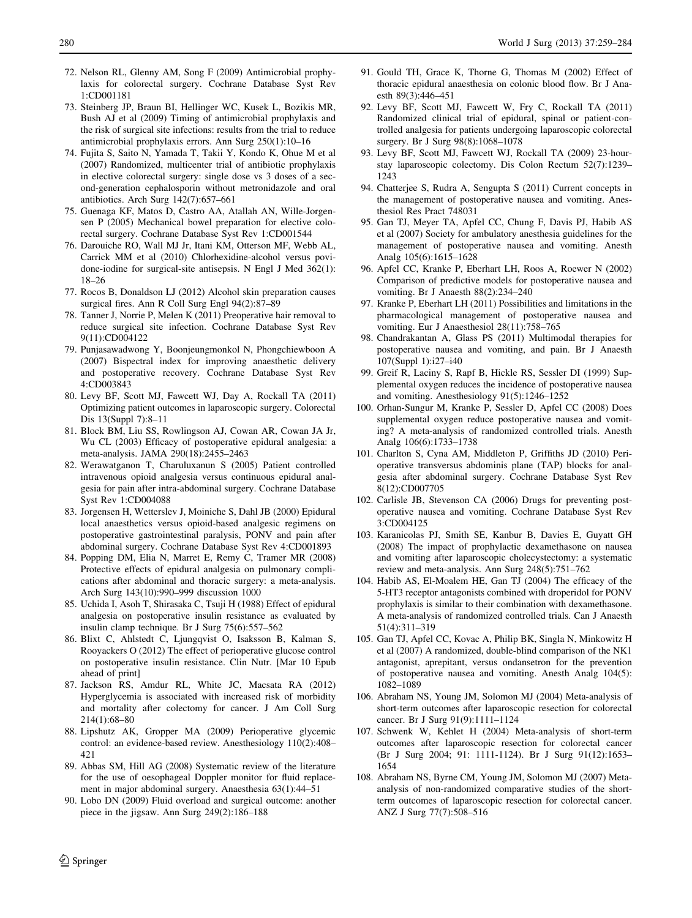- <span id="page-21-0"></span>72. Nelson RL, Glenny AM, Song F (2009) Antimicrobial prophylaxis for colorectal surgery. Cochrane Database Syst Rev 1:CD001181
- 73. Steinberg JP, Braun BI, Hellinger WC, Kusek L, Bozikis MR, Bush AJ et al (2009) Timing of antimicrobial prophylaxis and the risk of surgical site infections: results from the trial to reduce antimicrobial prophylaxis errors. Ann Surg 250(1):10–16
- 74. Fujita S, Saito N, Yamada T, Takii Y, Kondo K, Ohue M et al (2007) Randomized, multicenter trial of antibiotic prophylaxis in elective colorectal surgery: single dose vs 3 doses of a second-generation cephalosporin without metronidazole and oral antibiotics. Arch Surg 142(7):657–661
- 75. Guenaga KF, Matos D, Castro AA, Atallah AN, Wille-Jorgensen P (2005) Mechanical bowel preparation for elective colorectal surgery. Cochrane Database Syst Rev 1:CD001544
- 76. Darouiche RO, Wall MJ Jr, Itani KM, Otterson MF, Webb AL, Carrick MM et al (2010) Chlorhexidine-alcohol versus povidone-iodine for surgical-site antisepsis. N Engl J Med 362(1): 18–26
- 77. Rocos B, Donaldson LJ (2012) Alcohol skin preparation causes surgical fires. Ann R Coll Surg Engl 94(2):87–89
- 78. Tanner J, Norrie P, Melen K (2011) Preoperative hair removal to reduce surgical site infection. Cochrane Database Syst Rev 9(11):CD004122
- 79. Punjasawadwong Y, Boonjeungmonkol N, Phongchiewboon A (2007) Bispectral index for improving anaesthetic delivery and postoperative recovery. Cochrane Database Syst Rev 4:CD003843
- 80. Levy BF, Scott MJ, Fawcett WJ, Day A, Rockall TA (2011) Optimizing patient outcomes in laparoscopic surgery. Colorectal Dis 13(Suppl 7):8–11
- 81. Block BM, Liu SS, Rowlingson AJ, Cowan AR, Cowan JA Jr, Wu CL (2003) Efficacy of postoperative epidural analgesia: a meta-analysis. JAMA 290(18):2455–2463
- 82. Werawatganon T, Charuluxanun S (2005) Patient controlled intravenous opioid analgesia versus continuous epidural analgesia for pain after intra-abdominal surgery. Cochrane Database Syst Rev 1:CD004088
- 83. Jorgensen H, Wetterslev J, Moiniche S, Dahl JB (2000) Epidural local anaesthetics versus opioid-based analgesic regimens on postoperative gastrointestinal paralysis, PONV and pain after abdominal surgery. Cochrane Database Syst Rev 4:CD001893
- 84. Popping DM, Elia N, Marret E, Remy C, Tramer MR (2008) Protective effects of epidural analgesia on pulmonary complications after abdominal and thoracic surgery: a meta-analysis. Arch Surg 143(10):990–999 discussion 1000
- 85. Uchida I, Asoh T, Shirasaka C, Tsuji H (1988) Effect of epidural analgesia on postoperative insulin resistance as evaluated by insulin clamp technique. Br J Surg 75(6):557–562
- 86. Blixt C, Ahlstedt C, Ljungqvist O, Isaksson B, Kalman S, Rooyackers O (2012) The effect of perioperative glucose control on postoperative insulin resistance. Clin Nutr. [Mar 10 Epub ahead of print]
- 87. Jackson RS, Amdur RL, White JC, Macsata RA (2012) Hyperglycemia is associated with increased risk of morbidity and mortality after colectomy for cancer. J Am Coll Surg 214(1):68–80
- 88. Lipshutz AK, Gropper MA (2009) Perioperative glycemic control: an evidence-based review. Anesthesiology 110(2):408– 421
- 89. Abbas SM, Hill AG (2008) Systematic review of the literature for the use of oesophageal Doppler monitor for fluid replacement in major abdominal surgery. Anaesthesia 63(1):44–51
- 90. Lobo DN (2009) Fluid overload and surgical outcome: another piece in the jigsaw. Ann Surg 249(2):186–188
- 91. Gould TH, Grace K, Thorne G, Thomas M (2002) Effect of thoracic epidural anaesthesia on colonic blood flow. Br J Anaesth 89(3):446–451
- 92. Levy BF, Scott MJ, Fawcett W, Fry C, Rockall TA (2011) Randomized clinical trial of epidural, spinal or patient-controlled analgesia for patients undergoing laparoscopic colorectal surgery. Br J Surg 98(8):1068–1078
- 93. Levy BF, Scott MJ, Fawcett WJ, Rockall TA (2009) 23-hourstay laparoscopic colectomy. Dis Colon Rectum 52(7):1239– 1243
- 94. Chatterjee S, Rudra A, Sengupta S (2011) Current concepts in the management of postoperative nausea and vomiting. Anesthesiol Res Pract 748031
- 95. Gan TJ, Meyer TA, Apfel CC, Chung F, Davis PJ, Habib AS et al (2007) Society for ambulatory anesthesia guidelines for the management of postoperative nausea and vomiting. Anesth Analg 105(6):1615–1628
- 96. Apfel CC, Kranke P, Eberhart LH, Roos A, Roewer N (2002) Comparison of predictive models for postoperative nausea and vomiting. Br J Anaesth 88(2):234–240
- 97. Kranke P, Eberhart LH (2011) Possibilities and limitations in the pharmacological management of postoperative nausea and vomiting. Eur J Anaesthesiol 28(11):758–765
- 98. Chandrakantan A, Glass PS (2011) Multimodal therapies for postoperative nausea and vomiting, and pain. Br J Anaesth 107(Suppl 1):i27–i40
- 99. Greif R, Laciny S, Rapf B, Hickle RS, Sessler DI (1999) Supplemental oxygen reduces the incidence of postoperative nausea and vomiting. Anesthesiology 91(5):1246–1252
- 100. Orhan-Sungur M, Kranke P, Sessler D, Apfel CC (2008) Does supplemental oxygen reduce postoperative nausea and vomiting? A meta-analysis of randomized controlled trials. Anesth Analg 106(6):1733–1738
- 101. Charlton S, Cyna AM, Middleton P, Griffiths JD (2010) Perioperative transversus abdominis plane (TAP) blocks for analgesia after abdominal surgery. Cochrane Database Syst Rev 8(12):CD007705
- 102. Carlisle JB, Stevenson CA (2006) Drugs for preventing postoperative nausea and vomiting. Cochrane Database Syst Rev 3:CD004125
- 103. Karanicolas PJ, Smith SE, Kanbur B, Davies E, Guyatt GH (2008) The impact of prophylactic dexamethasone on nausea and vomiting after laparoscopic cholecystectomy: a systematic review and meta-analysis. Ann Surg 248(5):751–762
- 104. Habib AS, El-Moalem HE, Gan TJ (2004) The efficacy of the 5-HT3 receptor antagonists combined with droperidol for PONV prophylaxis is similar to their combination with dexamethasone. A meta-analysis of randomized controlled trials. Can J Anaesth 51(4):311–319
- 105. Gan TJ, Apfel CC, Kovac A, Philip BK, Singla N, Minkowitz H et al (2007) A randomized, double-blind comparison of the NK1 antagonist, aprepitant, versus ondansetron for the prevention of postoperative nausea and vomiting. Anesth Analg 104(5): 1082–1089
- 106. Abraham NS, Young JM, Solomon MJ (2004) Meta-analysis of short-term outcomes after laparoscopic resection for colorectal cancer. Br J Surg 91(9):1111–1124
- 107. Schwenk W, Kehlet H (2004) Meta-analysis of short-term outcomes after laparoscopic resection for colorectal cancer (Br J Surg 2004; 91: 1111-1124). Br J Surg 91(12):1653– 1654
- 108. Abraham NS, Byrne CM, Young JM, Solomon MJ (2007) Metaanalysis of non-randomized comparative studies of the shortterm outcomes of laparoscopic resection for colorectal cancer. ANZ J Surg 77(7):508–516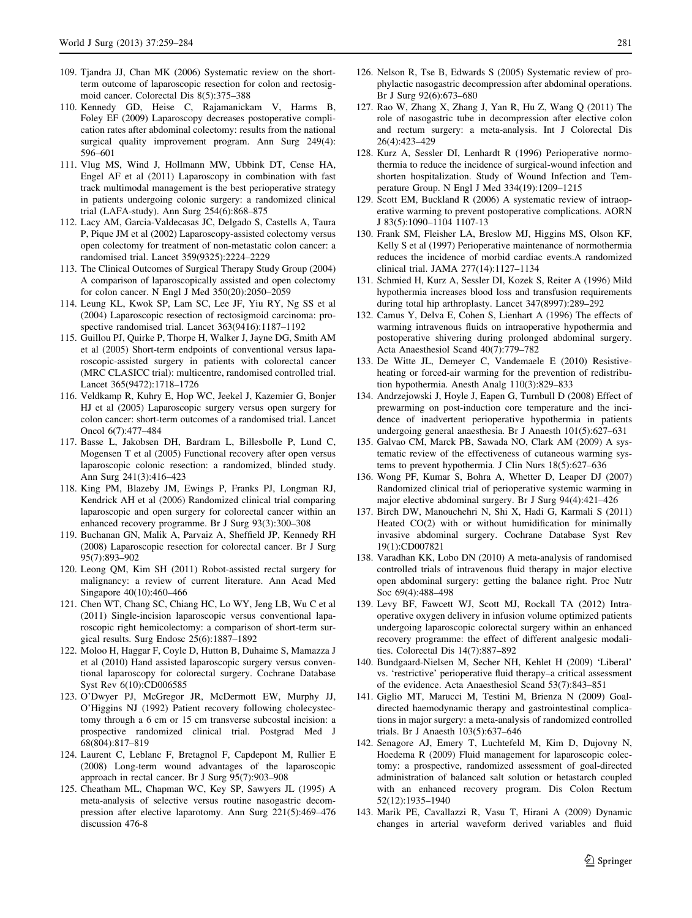- <span id="page-22-0"></span>109. Tjandra JJ, Chan MK (2006) Systematic review on the shortterm outcome of laparoscopic resection for colon and rectosigmoid cancer. Colorectal Dis 8(5):375–388
- 110. Kennedy GD, Heise C, Rajamanickam V, Harms B, Foley EF (2009) Laparoscopy decreases postoperative complication rates after abdominal colectomy: results from the national surgical quality improvement program. Ann Surg 249(4): 596–601
- 111. Vlug MS, Wind J, Hollmann MW, Ubbink DT, Cense HA, Engel AF et al (2011) Laparoscopy in combination with fast track multimodal management is the best perioperative strategy in patients undergoing colonic surgery: a randomized clinical trial (LAFA-study). Ann Surg 254(6):868–875
- 112. Lacy AM, Garcia-Valdecasas JC, Delgado S, Castells A, Taura P, Pique JM et al (2002) Laparoscopy-assisted colectomy versus open colectomy for treatment of non-metastatic colon cancer: a randomised trial. Lancet 359(9325):2224–2229
- 113. The Clinical Outcomes of Surgical Therapy Study Group (2004) A comparison of laparoscopically assisted and open colectomy for colon cancer. N Engl J Med 350(20):2050–2059
- 114. Leung KL, Kwok SP, Lam SC, Lee JF, Yiu RY, Ng SS et al (2004) Laparoscopic resection of rectosigmoid carcinoma: prospective randomised trial. Lancet 363(9416):1187–1192
- 115. Guillou PJ, Quirke P, Thorpe H, Walker J, Jayne DG, Smith AM et al (2005) Short-term endpoints of conventional versus laparoscopic-assisted surgery in patients with colorectal cancer (MRC CLASICC trial): multicentre, randomised controlled trial. Lancet 365(9472):1718–1726
- 116. Veldkamp R, Kuhry E, Hop WC, Jeekel J, Kazemier G, Bonjer HJ et al (2005) Laparoscopic surgery versus open surgery for colon cancer: short-term outcomes of a randomised trial. Lancet Oncol 6(7):477–484
- 117. Basse L, Jakobsen DH, Bardram L, Billesbolle P, Lund C, Mogensen T et al (2005) Functional recovery after open versus laparoscopic colonic resection: a randomized, blinded study. Ann Surg 241(3):416–423
- 118. King PM, Blazeby JM, Ewings P, Franks PJ, Longman RJ, Kendrick AH et al (2006) Randomized clinical trial comparing laparoscopic and open surgery for colorectal cancer within an enhanced recovery programme. Br J Surg 93(3):300–308
- 119. Buchanan GN, Malik A, Parvaiz A, Sheffield JP, Kennedy RH (2008) Laparoscopic resection for colorectal cancer. Br J Surg 95(7):893–902
- 120. Leong QM, Kim SH (2011) Robot-assisted rectal surgery for malignancy: a review of current literature. Ann Acad Med Singapore 40(10):460–466
- 121. Chen WT, Chang SC, Chiang HC, Lo WY, Jeng LB, Wu C et al (2011) Single-incision laparoscopic versus conventional laparoscopic right hemicolectomy: a comparison of short-term surgical results. Surg Endosc 25(6):1887–1892
- 122. Moloo H, Haggar F, Coyle D, Hutton B, Duhaime S, Mamazza J et al (2010) Hand assisted laparoscopic surgery versus conventional laparoscopy for colorectal surgery. Cochrane Database Syst Rev 6(10):CD006585
- 123. O'Dwyer PJ, McGregor JR, McDermott EW, Murphy JJ, O'Higgins NJ (1992) Patient recovery following cholecystectomy through a 6 cm or 15 cm transverse subcostal incision: a prospective randomized clinical trial. Postgrad Med J 68(804):817–819
- 124. Laurent C, Leblanc F, Bretagnol F, Capdepont M, Rullier E (2008) Long-term wound advantages of the laparoscopic approach in rectal cancer. Br J Surg 95(7):903–908
- 125. Cheatham ML, Chapman WC, Key SP, Sawyers JL (1995) A meta-analysis of selective versus routine nasogastric decompression after elective laparotomy. Ann Surg 221(5):469–476 discussion 476-8
- 126. Nelson R, Tse B, Edwards S (2005) Systematic review of prophylactic nasogastric decompression after abdominal operations. Br J Surg 92(6):673–680
- 127. Rao W, Zhang X, Zhang J, Yan R, Hu Z, Wang Q (2011) The role of nasogastric tube in decompression after elective colon and rectum surgery: a meta-analysis. Int J Colorectal Dis 26(4):423–429
- 128. Kurz A, Sessler DI, Lenhardt R (1996) Perioperative normothermia to reduce the incidence of surgical-wound infection and shorten hospitalization. Study of Wound Infection and Temperature Group. N Engl J Med 334(19):1209–1215
- 129. Scott EM, Buckland R (2006) A systematic review of intraoperative warming to prevent postoperative complications. AORN J 83(5):1090–1104 1107-13
- 130. Frank SM, Fleisher LA, Breslow MJ, Higgins MS, Olson KF, Kelly S et al (1997) Perioperative maintenance of normothermia reduces the incidence of morbid cardiac events.A randomized clinical trial. JAMA 277(14):1127–1134
- 131. Schmied H, Kurz A, Sessler DI, Kozek S, Reiter A (1996) Mild hypothermia increases blood loss and transfusion requirements during total hip arthroplasty. Lancet 347(8997):289–292
- 132. Camus Y, Delva E, Cohen S, Lienhart A (1996) The effects of warming intravenous fluids on intraoperative hypothermia and postoperative shivering during prolonged abdominal surgery. Acta Anaesthesiol Scand 40(7):779–782
- 133. De Witte JL, Demeyer C, Vandemaele E (2010) Resistiveheating or forced-air warming for the prevention of redistribution hypothermia. Anesth Analg 110(3):829–833
- 134. Andrzejowski J, Hoyle J, Eapen G, Turnbull D (2008) Effect of prewarming on post-induction core temperature and the incidence of inadvertent perioperative hypothermia in patients undergoing general anaesthesia. Br J Anaesth 101(5):627–631
- 135. Galvao CM, Marck PB, Sawada NO, Clark AM (2009) A systematic review of the effectiveness of cutaneous warming systems to prevent hypothermia. J Clin Nurs 18(5):627–636
- 136. Wong PF, Kumar S, Bohra A, Whetter D, Leaper DJ (2007) Randomized clinical trial of perioperative systemic warming in major elective abdominal surgery. Br J Surg 94(4):421–426
- 137. Birch DW, Manouchehri N, Shi X, Hadi G, Karmali S (2011) Heated CO(2) with or without humidification for minimally invasive abdominal surgery. Cochrane Database Syst Rev 19(1):CD007821
- 138. Varadhan KK, Lobo DN (2010) A meta-analysis of randomised controlled trials of intravenous fluid therapy in major elective open abdominal surgery: getting the balance right. Proc Nutr Soc 69(4):488–498
- 139. Levy BF, Fawcett WJ, Scott MJ, Rockall TA (2012) Intraoperative oxygen delivery in infusion volume optimized patients undergoing laparoscopic colorectal surgery within an enhanced recovery programme: the effect of different analgesic modalities. Colorectal Dis 14(7):887–892
- 140. Bundgaard-Nielsen M, Secher NH, Kehlet H (2009) 'Liberal' vs. 'restrictive' perioperative fluid therapy–a critical assessment of the evidence. Acta Anaesthesiol Scand 53(7):843–851
- 141. Giglio MT, Marucci M, Testini M, Brienza N (2009) Goaldirected haemodynamic therapy and gastrointestinal complications in major surgery: a meta-analysis of randomized controlled trials. Br J Anaesth 103(5):637–646
- 142. Senagore AJ, Emery T, Luchtefeld M, Kim D, Dujovny N, Hoedema R (2009) Fluid management for laparoscopic colectomy: a prospective, randomized assessment of goal-directed administration of balanced salt solution or hetastarch coupled with an enhanced recovery program. Dis Colon Rectum 52(12):1935–1940
- 143. Marik PE, Cavallazzi R, Vasu T, Hirani A (2009) Dynamic changes in arterial waveform derived variables and fluid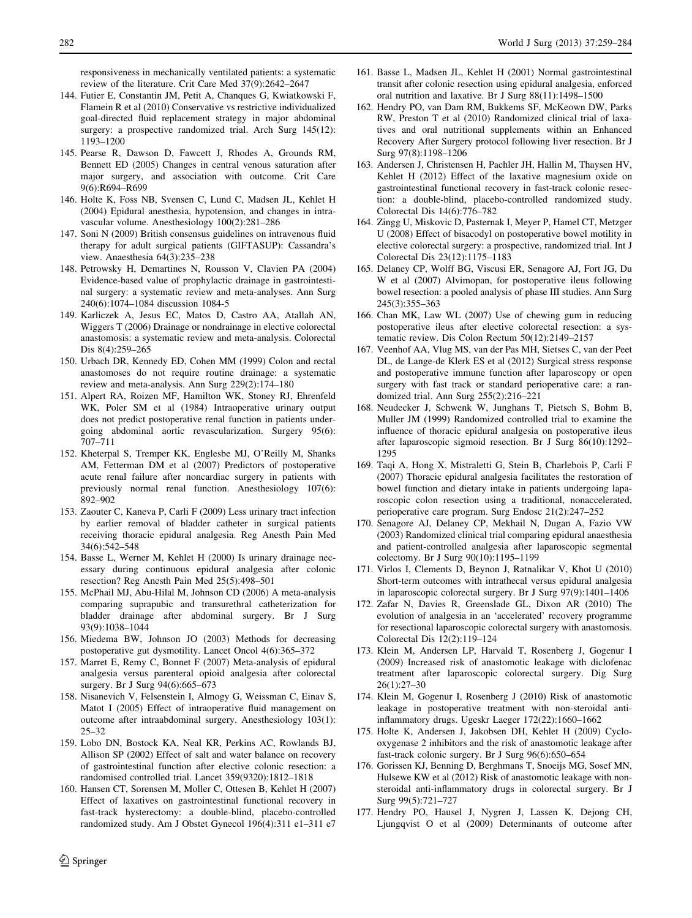<span id="page-23-0"></span>responsiveness in mechanically ventilated patients: a systematic review of the literature. Crit Care Med 37(9):2642–2647

- 144. Futier E, Constantin JM, Petit A, Chanques G, Kwiatkowski F, Flamein R et al (2010) Conservative vs restrictive individualized goal-directed fluid replacement strategy in major abdominal surgery: a prospective randomized trial. Arch Surg 145(12): 1193–1200
- 145. Pearse R, Dawson D, Fawcett J, Rhodes A, Grounds RM, Bennett ED (2005) Changes in central venous saturation after major surgery, and association with outcome. Crit Care 9(6):R694–R699
- 146. Holte K, Foss NB, Svensen C, Lund C, Madsen JL, Kehlet H (2004) Epidural anesthesia, hypotension, and changes in intravascular volume. Anesthesiology 100(2):281–286
- 147. Soni N (2009) British consensus guidelines on intravenous fluid therapy for adult surgical patients (GIFTASUP): Cassandra's view. Anaesthesia 64(3):235–238
- 148. Petrowsky H, Demartines N, Rousson V, Clavien PA (2004) Evidence-based value of prophylactic drainage in gastrointestinal surgery: a systematic review and meta-analyses. Ann Surg 240(6):1074–1084 discussion 1084-5
- 149. Karliczek A, Jesus EC, Matos D, Castro AA, Atallah AN, Wiggers T (2006) Drainage or nondrainage in elective colorectal anastomosis: a systematic review and meta-analysis. Colorectal Dis 8(4):259–265
- 150. Urbach DR, Kennedy ED, Cohen MM (1999) Colon and rectal anastomoses do not require routine drainage: a systematic review and meta-analysis. Ann Surg 229(2):174–180
- 151. Alpert RA, Roizen MF, Hamilton WK, Stoney RJ, Ehrenfeld WK, Poler SM et al (1984) Intraoperative urinary output does not predict postoperative renal function in patients undergoing abdominal aortic revascularization. Surgery 95(6): 707–711
- 152. Kheterpal S, Tremper KK, Englesbe MJ, O'Reilly M, Shanks AM, Fetterman DM et al (2007) Predictors of postoperative acute renal failure after noncardiac surgery in patients with previously normal renal function. Anesthesiology 107(6): 892–902
- 153. Zaouter C, Kaneva P, Carli F (2009) Less urinary tract infection by earlier removal of bladder catheter in surgical patients receiving thoracic epidural analgesia. Reg Anesth Pain Med 34(6):542–548
- 154. Basse L, Werner M, Kehlet H (2000) Is urinary drainage necessary during continuous epidural analgesia after colonic resection? Reg Anesth Pain Med 25(5):498–501
- 155. McPhail MJ, Abu-Hilal M, Johnson CD (2006) A meta-analysis comparing suprapubic and transurethral catheterization for bladder drainage after abdominal surgery. Br J Surg 93(9):1038–1044
- 156. Miedema BW, Johnson JO (2003) Methods for decreasing postoperative gut dysmotility. Lancet Oncol 4(6):365–372
- 157. Marret E, Remy C, Bonnet F (2007) Meta-analysis of epidural analgesia versus parenteral opioid analgesia after colorectal surgery. Br J Surg 94(6):665–673
- 158. Nisanevich V, Felsenstein I, Almogy G, Weissman C, Einav S, Matot I (2005) Effect of intraoperative fluid management on outcome after intraabdominal surgery. Anesthesiology 103(1): 25–32
- 159. Lobo DN, Bostock KA, Neal KR, Perkins AC, Rowlands BJ, Allison SP (2002) Effect of salt and water balance on recovery of gastrointestinal function after elective colonic resection: a randomised controlled trial. Lancet 359(9320):1812–1818
- 160. Hansen CT, Sorensen M, Moller C, Ottesen B, Kehlet H (2007) Effect of laxatives on gastrointestinal functional recovery in fast-track hysterectomy: a double-blind, placebo-controlled randomized study. Am J Obstet Gynecol 196(4):311 e1–311 e7
- 161. Basse L, Madsen JL, Kehlet H (2001) Normal gastrointestinal transit after colonic resection using epidural analgesia, enforced oral nutrition and laxative. Br J Surg 88(11):1498–1500
- 162. Hendry PO, van Dam RM, Bukkems SF, McKeown DW, Parks RW, Preston T et al (2010) Randomized clinical trial of laxatives and oral nutritional supplements within an Enhanced Recovery After Surgery protocol following liver resection. Br J Surg 97(8):1198–1206
- 163. Andersen J, Christensen H, Pachler JH, Hallin M, Thaysen HV, Kehlet H (2012) Effect of the laxative magnesium oxide on gastrointestinal functional recovery in fast-track colonic resection: a double-blind, placebo-controlled randomized study. Colorectal Dis 14(6):776–782
- 164. Zingg U, Miskovic D, Pasternak I, Meyer P, Hamel CT, Metzger U (2008) Effect of bisacodyl on postoperative bowel motility in elective colorectal surgery: a prospective, randomized trial. Int J Colorectal Dis 23(12):1175–1183
- 165. Delaney CP, Wolff BG, Viscusi ER, Senagore AJ, Fort JG, Du W et al (2007) Alvimopan, for postoperative ileus following bowel resection: a pooled analysis of phase III studies. Ann Surg 245(3):355–363
- 166. Chan MK, Law WL (2007) Use of chewing gum in reducing postoperative ileus after elective colorectal resection: a systematic review. Dis Colon Rectum 50(12):2149–2157
- 167. Veenhof AA, Vlug MS, van der Pas MH, Sietses C, van der Peet DL, de Lange-de Klerk ES et al (2012) Surgical stress response and postoperative immune function after laparoscopy or open surgery with fast track or standard perioperative care: a randomized trial. Ann Surg 255(2):216–221
- 168. Neudecker J, Schwenk W, Junghans T, Pietsch S, Bohm B, Muller JM (1999) Randomized controlled trial to examine the influence of thoracic epidural analgesia on postoperative ileus after laparoscopic sigmoid resection. Br J Surg 86(10):1292– 1295
- 169. Taqi A, Hong X, Mistraletti G, Stein B, Charlebois P, Carli F (2007) Thoracic epidural analgesia facilitates the restoration of bowel function and dietary intake in patients undergoing laparoscopic colon resection using a traditional, nonaccelerated, perioperative care program. Surg Endosc 21(2):247–252
- 170. Senagore AJ, Delaney CP, Mekhail N, Dugan A, Fazio VW (2003) Randomized clinical trial comparing epidural anaesthesia and patient-controlled analgesia after laparoscopic segmental colectomy. Br J Surg 90(10):1195–1199
- 171. Virlos I, Clements D, Beynon J, Ratnalikar V, Khot U (2010) Short-term outcomes with intrathecal versus epidural analgesia in laparoscopic colorectal surgery. Br J Surg 97(9):1401–1406
- 172. Zafar N, Davies R, Greenslade GL, Dixon AR (2010) The evolution of analgesia in an 'accelerated' recovery programme for resectional laparoscopic colorectal surgery with anastomosis. Colorectal Dis 12(2):119–124
- 173. Klein M, Andersen LP, Harvald T, Rosenberg J, Gogenur I (2009) Increased risk of anastomotic leakage with diclofenac treatment after laparoscopic colorectal surgery. Dig Surg 26(1):27–30
- 174. Klein M, Gogenur I, Rosenberg J (2010) Risk of anastomotic leakage in postoperative treatment with non-steroidal antiinflammatory drugs. Ugeskr Laeger 172(22):1660–1662
- 175. Holte K, Andersen J, Jakobsen DH, Kehlet H (2009) Cyclooxygenase 2 inhibitors and the risk of anastomotic leakage after fast-track colonic surgery. Br J Surg 96(6):650–654
- 176. Gorissen KJ, Benning D, Berghmans T, Snoeijs MG, Sosef MN, Hulsewe KW et al (2012) Risk of anastomotic leakage with nonsteroidal anti-inflammatory drugs in colorectal surgery. Br J Surg 99(5):721–727
- 177. Hendry PO, Hausel J, Nygren J, Lassen K, Dejong CH, Ljungqvist O et al (2009) Determinants of outcome after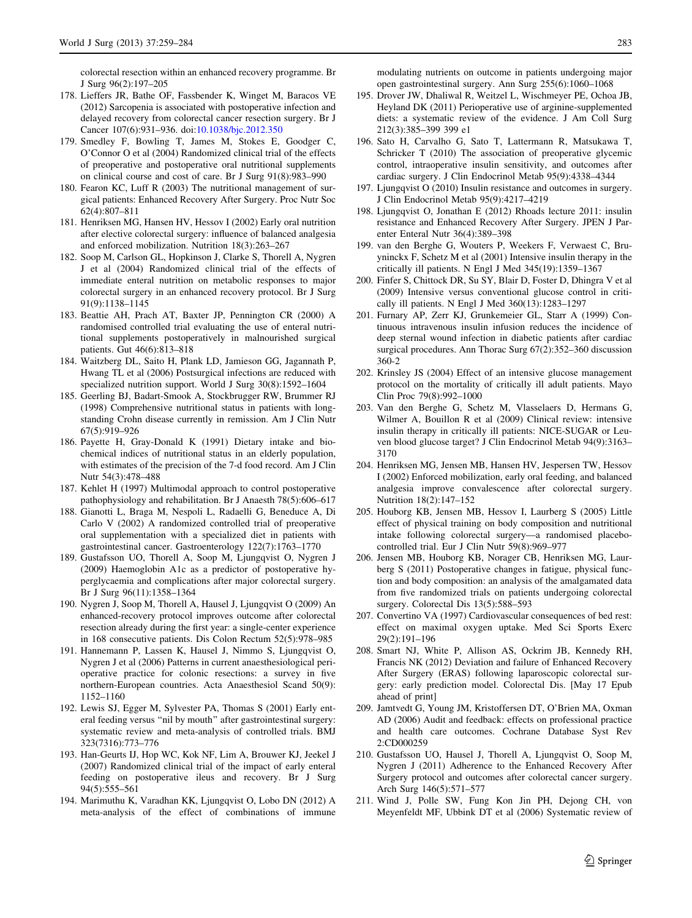<span id="page-24-0"></span>colorectal resection within an enhanced recovery programme. Br J Surg 96(2):197–205

- 178. Lieffers JR, Bathe OF, Fassbender K, Winget M, Baracos VE (2012) Sarcopenia is associated with postoperative infection and delayed recovery from colorectal cancer resection surgery. Br J Cancer 107(6):931–936. doi[:10.1038/bjc.2012.350](http://dx.doi.org/10.1038/bjc.2012.350)
- 179. Smedley F, Bowling T, James M, Stokes E, Goodger C, O'Connor O et al (2004) Randomized clinical trial of the effects of preoperative and postoperative oral nutritional supplements on clinical course and cost of care. Br J Surg 91(8):983–990
- 180. Fearon KC, Luff R (2003) The nutritional management of surgical patients: Enhanced Recovery After Surgery. Proc Nutr Soc 62(4):807–811
- 181. Henriksen MG, Hansen HV, Hessov I (2002) Early oral nutrition after elective colorectal surgery: influence of balanced analgesia and enforced mobilization. Nutrition 18(3):263–267
- 182. Soop M, Carlson GL, Hopkinson J, Clarke S, Thorell A, Nygren J et al (2004) Randomized clinical trial of the effects of immediate enteral nutrition on metabolic responses to major colorectal surgery in an enhanced recovery protocol. Br J Surg 91(9):1138–1145
- 183. Beattie AH, Prach AT, Baxter JP, Pennington CR (2000) A randomised controlled trial evaluating the use of enteral nutritional supplements postoperatively in malnourished surgical patients. Gut 46(6):813–818
- 184. Waitzberg DL, Saito H, Plank LD, Jamieson GG, Jagannath P, Hwang TL et al (2006) Postsurgical infections are reduced with specialized nutrition support. World J Surg 30(8):1592–1604
- 185. Geerling BJ, Badart-Smook A, Stockbrugger RW, Brummer RJ (1998) Comprehensive nutritional status in patients with longstanding Crohn disease currently in remission. Am J Clin Nutr 67(5):919–926
- 186. Payette H, Gray-Donald K (1991) Dietary intake and biochemical indices of nutritional status in an elderly population, with estimates of the precision of the 7-d food record. Am J Clin Nutr 54(3):478–488
- 187. Kehlet H (1997) Multimodal approach to control postoperative pathophysiology and rehabilitation. Br J Anaesth 78(5):606–617
- 188. Gianotti L, Braga M, Nespoli L, Radaelli G, Beneduce A, Di Carlo V (2002) A randomized controlled trial of preoperative oral supplementation with a specialized diet in patients with gastrointestinal cancer. Gastroenterology 122(7):1763–1770
- 189. Gustafsson UO, Thorell A, Soop M, Ljungqvist O, Nygren J (2009) Haemoglobin A1c as a predictor of postoperative hyperglycaemia and complications after major colorectal surgery. Br J Surg 96(11):1358–1364
- 190. Nygren J, Soop M, Thorell A, Hausel J, Ljungqvist O (2009) An enhanced-recovery protocol improves outcome after colorectal resection already during the first year: a single-center experience in 168 consecutive patients. Dis Colon Rectum 52(5):978–985
- 191. Hannemann P, Lassen K, Hausel J, Nimmo S, Ljungqvist O, Nygren J et al (2006) Patterns in current anaesthesiological perioperative practice for colonic resections: a survey in five northern-European countries. Acta Anaesthesiol Scand 50(9): 1152–1160
- 192. Lewis SJ, Egger M, Sylvester PA, Thomas S (2001) Early enteral feeding versus "nil by mouth" after gastrointestinal surgery: systematic review and meta-analysis of controlled trials. BMJ 323(7316):773–776
- 193. Han-Geurts IJ, Hop WC, Kok NF, Lim A, Brouwer KJ, Jeekel J (2007) Randomized clinical trial of the impact of early enteral feeding on postoperative ileus and recovery. Br J Surg 94(5):555–561
- 194. Marimuthu K, Varadhan KK, Ljungqvist O, Lobo DN (2012) A meta-analysis of the effect of combinations of immune

modulating nutrients on outcome in patients undergoing major open gastrointestinal surgery. Ann Surg 255(6):1060–1068

- 195. Drover JW, Dhaliwal R, Weitzel L, Wischmeyer PE, Ochoa JB, Heyland DK (2011) Perioperative use of arginine-supplemented diets: a systematic review of the evidence. J Am Coll Surg 212(3):385–399 399 e1
- 196. Sato H, Carvalho G, Sato T, Lattermann R, Matsukawa T, Schricker T (2010) The association of preoperative glycemic control, intraoperative insulin sensitivity, and outcomes after cardiac surgery. J Clin Endocrinol Metab 95(9):4338–4344
- 197. Ljungqvist O (2010) Insulin resistance and outcomes in surgery. J Clin Endocrinol Metab 95(9):4217–4219
- 198. Ljungqvist O, Jonathan E (2012) Rhoads lecture 2011: insulin resistance and Enhanced Recovery After Surgery. JPEN J Parenter Enteral Nutr 36(4):389–398
- 199. van den Berghe G, Wouters P, Weekers F, Verwaest C, Bruyninckx F, Schetz M et al (2001) Intensive insulin therapy in the critically ill patients. N Engl J Med 345(19):1359–1367
- 200. Finfer S, Chittock DR, Su SY, Blair D, Foster D, Dhingra V et al (2009) Intensive versus conventional glucose control in critically ill patients. N Engl J Med 360(13):1283–1297
- 201. Furnary AP, Zerr KJ, Grunkemeier GL, Starr A (1999) Continuous intravenous insulin infusion reduces the incidence of deep sternal wound infection in diabetic patients after cardiac surgical procedures. Ann Thorac Surg 67(2):352–360 discussion 360-2
- 202. Krinsley JS (2004) Effect of an intensive glucose management protocol on the mortality of critically ill adult patients. Mayo Clin Proc 79(8):992–1000
- 203. Van den Berghe G, Schetz M, Vlasselaers D, Hermans G, Wilmer A, Bouillon R et al (2009) Clinical review: intensive insulin therapy in critically ill patients: NICE-SUGAR or Leuven blood glucose target? J Clin Endocrinol Metab 94(9):3163– 3170
- 204. Henriksen MG, Jensen MB, Hansen HV, Jespersen TW, Hessov I (2002) Enforced mobilization, early oral feeding, and balanced analgesia improve convalescence after colorectal surgery. Nutrition 18(2):147–152
- 205. Houborg KB, Jensen MB, Hessov I, Laurberg S (2005) Little effect of physical training on body composition and nutritional intake following colorectal surgery—a randomised placebocontrolled trial. Eur J Clin Nutr 59(8):969–977
- 206. Jensen MB, Houborg KB, Norager CB, Henriksen MG, Laurberg S (2011) Postoperative changes in fatigue, physical function and body composition: an analysis of the amalgamated data from five randomized trials on patients undergoing colorectal surgery. Colorectal Dis 13(5):588–593
- 207. Convertino VA (1997) Cardiovascular consequences of bed rest: effect on maximal oxygen uptake. Med Sci Sports Exerc 29(2):191–196
- 208. Smart NJ, White P, Allison AS, Ockrim JB, Kennedy RH, Francis NK (2012) Deviation and failure of Enhanced Recovery After Surgery (ERAS) following laparoscopic colorectal surgery: early prediction model. Colorectal Dis. [May 17 Epub ahead of print]
- 209. Jamtvedt G, Young JM, Kristoffersen DT, O'Brien MA, Oxman AD (2006) Audit and feedback: effects on professional practice and health care outcomes. Cochrane Database Syst Rev 2:CD000259
- 210. Gustafsson UO, Hausel J, Thorell A, Ljungqvist O, Soop M, Nygren J (2011) Adherence to the Enhanced Recovery After Surgery protocol and outcomes after colorectal cancer surgery. Arch Surg 146(5):571–577
- 211. Wind J, Polle SW, Fung Kon Jin PH, Dejong CH, von Meyenfeldt MF, Ubbink DT et al (2006) Systematic review of